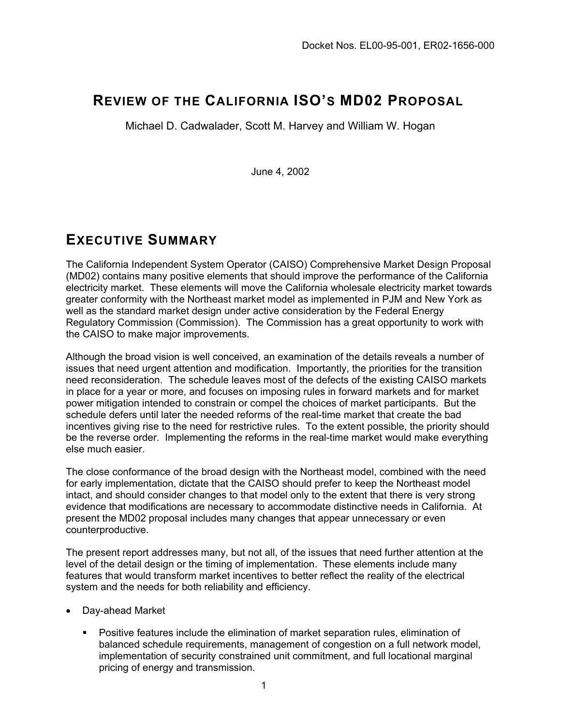# **REVIEW OF THE CALIFORNIA ISO'S MD02 PROPOSAL**

Michael D. Cadwalader, Scott M. Harvey and William W. Hogan

June 4, 2002

# **EXECUTIVE SUMMARY**

The California Independent System Operator (CAISO) Comprehensive Market Design Proposal (MD02) contains many positive elements that should improve the performance of the California electricity market. These elements will move the California wholesale electricity market towards greater conformity with the Northeast market model as implemented in PJM and New York as well as the standard market design under active consideration by the Federal Energy Regulatory Commission (Commission). The Commission has a great opportunity to work with the CAISO to make major improvements.

Although the broad vision is well conceived, an examination of the details reveals a number of issues that need urgent attention and modification. Importantly, the priorities for the transition need reconsideration. The schedule leaves most of the defects of the existing CAISO markets in place for a year or more, and focuses on imposing rules in forward markets and for market power mitigation intended to constrain or compel the choices of market participants. But the schedule defers until later the needed reforms of the real-time market that create the bad incentives giving rise to the need for restrictive rules. To the extent possible, the priority should be the reverse order. Implementing the reforms in the real-time market would make everything else much easier.

The close conformance of the broad design with the Northeast model, combined with the need for early implementation, dictate that the CAISO should prefer to keep the Northeast model intact, and should consider changes to that model only to the extent that there is very strong evidence that modifications are necessary to accommodate distinctive needs in California. At present the MD02 proposal includes many changes that appear unnecessary or even counterproductive.

The present report addresses many, but not all, of the issues that need further attention at the level of the detail design or the timing of implementation. These elements include many features that would transform market incentives to better reflect the reality of the electrical system and the needs for both reliability and efficiency.

- Day-ahead Market
	- Positive features include the elimination of market separation rules, elimination of balanced schedule requirements, management of congestion on a full network model, implementation of security constrained unit commitment, and full locational marginal pricing of energy and transmission.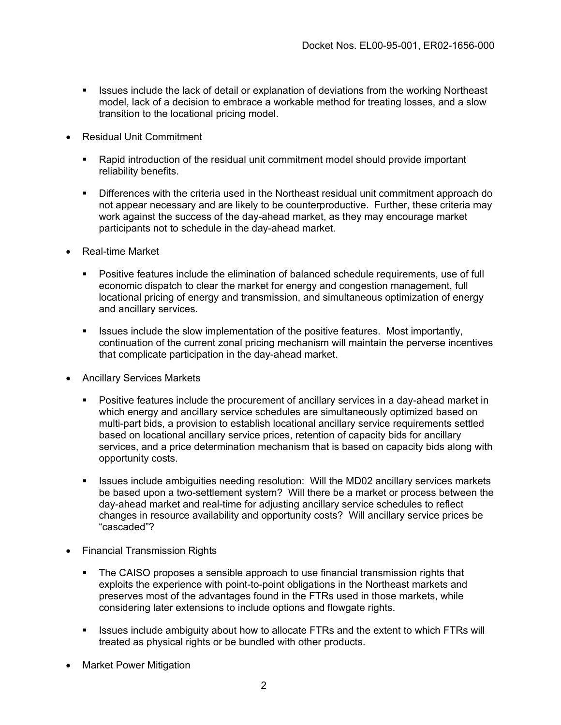- **ISSUES Include the lack of detail or explanation of deviations from the working Northeast** model, lack of a decision to embrace a workable method for treating losses, and a slow transition to the locational pricing model.
- Residual Unit Commitment
	- Rapid introduction of the residual unit commitment model should provide important reliability benefits.
	- Differences with the criteria used in the Northeast residual unit commitment approach do not appear necessary and are likely to be counterproductive. Further, these criteria may work against the success of the day-ahead market, as they may encourage market participants not to schedule in the day-ahead market.
- Real-time Market
	- Positive features include the elimination of balanced schedule requirements, use of full economic dispatch to clear the market for energy and congestion management, full locational pricing of energy and transmission, and simultaneous optimization of energy and ancillary services.
	- **ISSUES include the slow implementation of the positive features. Most importantly,** continuation of the current zonal pricing mechanism will maintain the perverse incentives that complicate participation in the day-ahead market.
- Ancillary Services Markets
	- Positive features include the procurement of ancillary services in a day-ahead market in which energy and ancillary service schedules are simultaneously optimized based on multi-part bids, a provision to establish locational ancillary service requirements settled based on locational ancillary service prices, retention of capacity bids for ancillary services, and a price determination mechanism that is based on capacity bids along with opportunity costs.
	- Issues include ambiguities needing resolution: Will the MD02 ancillary services markets be based upon a two-settlement system? Will there be a market or process between the day-ahead market and real-time for adjusting ancillary service schedules to reflect changes in resource availability and opportunity costs? Will ancillary service prices be "cascaded"?
- Financial Transmission Rights
	- The CAISO proposes a sensible approach to use financial transmission rights that exploits the experience with point-to-point obligations in the Northeast markets and preserves most of the advantages found in the FTRs used in those markets, while considering later extensions to include options and flowgate rights.
	- **ISSUES Include ambiguity about how to allocate FTRs and the extent to which FTRs will** treated as physical rights or be bundled with other products.
- Market Power Mitigation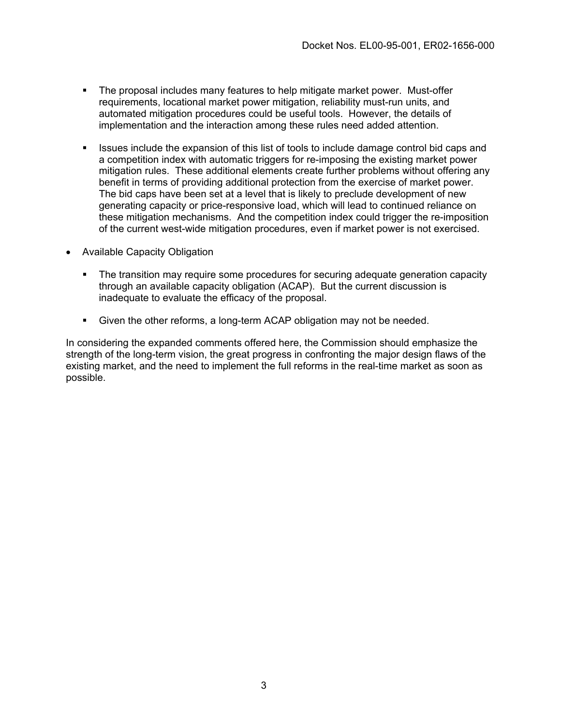- The proposal includes many features to help mitigate market power. Must-offer requirements, locational market power mitigation, reliability must-run units, and automated mitigation procedures could be useful tools. However, the details of implementation and the interaction among these rules need added attention.
- Issues include the expansion of this list of tools to include damage control bid caps and a competition index with automatic triggers for re-imposing the existing market power mitigation rules. These additional elements create further problems without offering any benefit in terms of providing additional protection from the exercise of market power. The bid caps have been set at a level that is likely to preclude development of new generating capacity or price-responsive load, which will lead to continued reliance on these mitigation mechanisms. And the competition index could trigger the re-imposition of the current west-wide mitigation procedures, even if market power is not exercised.
- Available Capacity Obligation
	- The transition may require some procedures for securing adequate generation capacity through an available capacity obligation (ACAP). But the current discussion is inadequate to evaluate the efficacy of the proposal.
	- Given the other reforms, a long-term ACAP obligation may not be needed.

In considering the expanded comments offered here, the Commission should emphasize the strength of the long-term vision, the great progress in confronting the major design flaws of the existing market, and the need to implement the full reforms in the real-time market as soon as possible.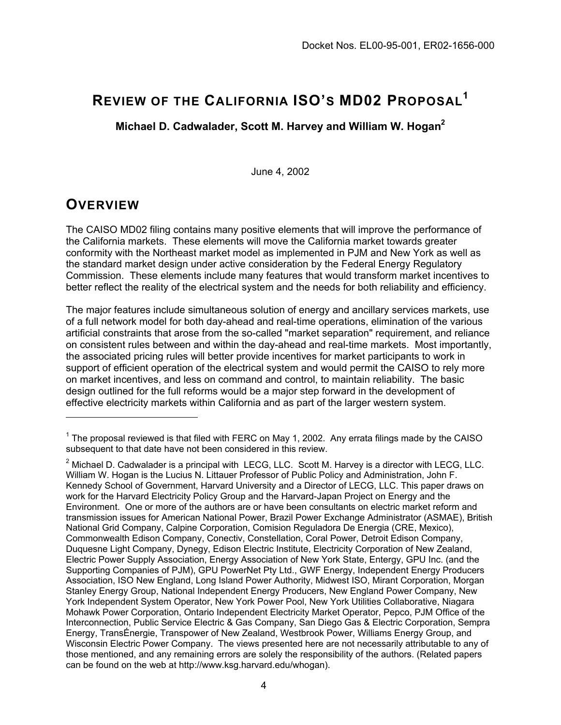# **REVIEW OF THE CALIFORNIA ISO'S MD02 PROPOSAL[1](#page-3-0)**

**Michael D. Cadwalader, Scott M. Harvey and William W. Hoga[n2](#page-3-1)**

June 4, 2002

# **OVERVIEW**

The CAISO MD02 filing contains many positive elements that will improve the performance of the California markets. These elements will move the California market towards greater conformity with the Northeast market model as implemented in PJM and New York as well as the standard market design under active consideration by the Federal Energy Regulatory Commission. These elements include many features that would transform market incentives to better reflect the reality of the electrical system and the needs for both reliability and efficiency.

The major features include simultaneous solution of energy and ancillary services markets, use of a full network model for both day-ahead and real-time operations, elimination of the various artificial constraints that arose from the so-called "market separation" requirement, and reliance on consistent rules between and within the day-ahead and real-time markets. Most importantly, the associated pricing rules will better provide incentives for market participants to work in support of efficient operation of the electrical system and would permit the CAISO to rely more on market incentives, and less on command and control, to maintain reliability. The basic design outlined for the full reforms would be a major step forward in the development of effective electricity markets within California and as part of the larger western system.

<span id="page-3-0"></span> $1$  The proposal reviewed is that filed with FERC on May 1, 2002. Any errata filings made by the CAISO subsequent to that date have not been considered in this review.

<span id="page-3-1"></span> $2$  Michael D. Cadwalader is a principal with LECG, LLC. Scott M. Harvey is a director with LECG, LLC. William W. Hogan is the Lucius N. Littauer Professor of Public Policy and Administration, John F. Kennedy School of Government, Harvard University and a Director of LECG, LLC. This paper draws on work for the Harvard Electricity Policy Group and the Harvard-Japan Project on Energy and the Environment. One or more of the authors are or have been consultants on electric market reform and transmission issues for American National Power, Brazil Power Exchange Administrator (ASMAE), British National Grid Company, Calpine Corporation, Comision Reguladora De Energia (CRE, Mexico), Commonwealth Edison Company, Conectiv, Constellation, Coral Power, Detroit Edison Company, Duquesne Light Company, Dynegy, Edison Electric Institute, Electricity Corporation of New Zealand, Electric Power Supply Association, Energy Association of New York State, Entergy, GPU Inc. (and the Supporting Companies of PJM), GPU PowerNet Pty Ltd., GWF Energy, Independent Energy Producers Association, ISO New England, Long Island Power Authority, Midwest ISO, Mirant Corporation, Morgan Stanley Energy Group, National Independent Energy Producers, New England Power Company, New York Independent System Operator, New York Power Pool, New York Utilities Collaborative, Niagara Mohawk Power Corporation, Ontario Independent Electricity Market Operator, Pepco, PJM Office of the Interconnection, Public Service Electric & Gas Company, San Diego Gas & Electric Corporation, Sempra Energy, TransÉnergie, Transpower of New Zealand, Westbrook Power, Williams Energy Group, and Wisconsin Electric Power Company. The views presented here are not necessarily attributable to any of those mentioned, and any remaining errors are solely the responsibility of the authors. (Related papers can be found on the web at http://www.ksg.harvard.edu/whogan).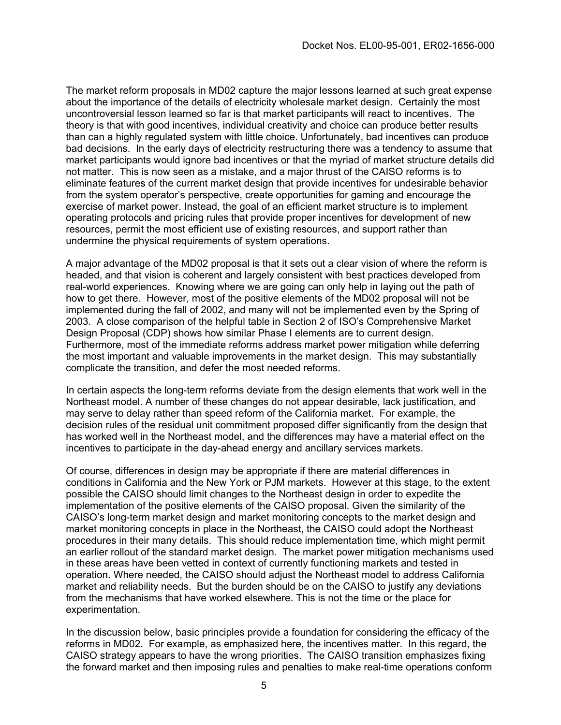The market reform proposals in MD02 capture the major lessons learned at such great expense about the importance of the details of electricity wholesale market design. Certainly the most uncontroversial lesson learned so far is that market participants will react to incentives. The theory is that with good incentives, individual creativity and choice can produce better results than can a highly regulated system with little choice. Unfortunately, bad incentives can produce bad decisions. In the early days of electricity restructuring there was a tendency to assume that market participants would ignore bad incentives or that the myriad of market structure details did not matter. This is now seen as a mistake, and a major thrust of the CAISO reforms is to eliminate features of the current market design that provide incentives for undesirable behavior from the system operator's perspective, create opportunities for gaming and encourage the exercise of market power. Instead, the goal of an efficient market structure is to implement operating protocols and pricing rules that provide proper incentives for development of new resources, permit the most efficient use of existing resources, and support rather than undermine the physical requirements of system operations.

A major advantage of the MD02 proposal is that it sets out a clear vision of where the reform is headed, and that vision is coherent and largely consistent with best practices developed from real-world experiences. Knowing where we are going can only help in laying out the path of how to get there. However, most of the positive elements of the MD02 proposal will not be implemented during the fall of 2002, and many will not be implemented even by the Spring of 2003. A close comparison of the helpful table in Section 2 of ISO's Comprehensive Market Design Proposal (CDP) shows how similar Phase I elements are to current design. Furthermore, most of the immediate reforms address market power mitigation while deferring the most important and valuable improvements in the market design. This may substantially complicate the transition, and defer the most needed reforms.

In certain aspects the long-term reforms deviate from the design elements that work well in the Northeast model. A number of these changes do not appear desirable, lack justification, and may serve to delay rather than speed reform of the California market. For example, the decision rules of the residual unit commitment proposed differ significantly from the design that has worked well in the Northeast model, and the differences may have a material effect on the incentives to participate in the day-ahead energy and ancillary services markets.

Of course, differences in design may be appropriate if there are material differences in conditions in California and the New York or PJM markets. However at this stage, to the extent possible the CAISO should limit changes to the Northeast design in order to expedite the implementation of the positive elements of the CAISO proposal. Given the similarity of the CAISO's long-term market design and market monitoring concepts to the market design and market monitoring concepts in place in the Northeast, the CAISO could adopt the Northeast procedures in their many details. This should reduce implementation time, which might permit an earlier rollout of the standard market design. The market power mitigation mechanisms used in these areas have been vetted in context of currently functioning markets and tested in operation. Where needed, the CAISO should adjust the Northeast model to address California market and reliability needs. But the burden should be on the CAISO to justify any deviations from the mechanisms that have worked elsewhere. This is not the time or the place for experimentation.

In the discussion below, basic principles provide a foundation for considering the efficacy of the reforms in MD02. For example, as emphasized here, the incentives matter. In this regard, the CAISO strategy appears to have the wrong priorities. The CAISO transition emphasizes fixing the forward market and then imposing rules and penalties to make real-time operations conform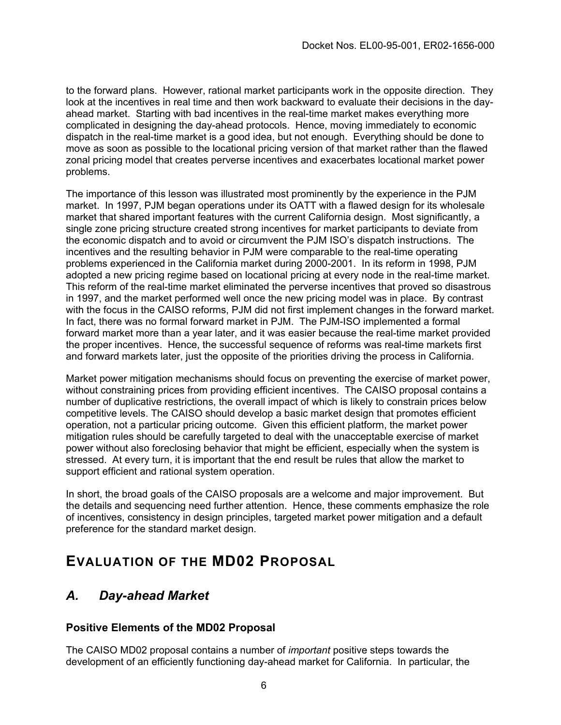to the forward plans. However, rational market participants work in the opposite direction. They look at the incentives in real time and then work backward to evaluate their decisions in the dayahead market. Starting with bad incentives in the real-time market makes everything more complicated in designing the day-ahead protocols. Hence, moving immediately to economic dispatch in the real-time market is a good idea, but not enough. Everything should be done to move as soon as possible to the locational pricing version of that market rather than the flawed zonal pricing model that creates perverse incentives and exacerbates locational market power problems.

The importance of this lesson was illustrated most prominently by the experience in the PJM market. In 1997, PJM began operations under its OATT with a flawed design for its wholesale market that shared important features with the current California design. Most significantly, a single zone pricing structure created strong incentives for market participants to deviate from the economic dispatch and to avoid or circumvent the PJM ISO's dispatch instructions. The incentives and the resulting behavior in PJM were comparable to the real-time operating problems experienced in the California market during 2000-2001. In its reform in 1998, PJM adopted a new pricing regime based on locational pricing at every node in the real-time market. This reform of the real-time market eliminated the perverse incentives that proved so disastrous in 1997, and the market performed well once the new pricing model was in place. By contrast with the focus in the CAISO reforms, PJM did not first implement changes in the forward market. In fact, there was no formal forward market in PJM. The PJM-ISO implemented a formal forward market more than a year later, and it was easier because the real-time market provided the proper incentives. Hence, the successful sequence of reforms was real-time markets first and forward markets later, just the opposite of the priorities driving the process in California.

Market power mitigation mechanisms should focus on preventing the exercise of market power, without constraining prices from providing efficient incentives. The CAISO proposal contains a number of duplicative restrictions, the overall impact of which is likely to constrain prices below competitive levels. The CAISO should develop a basic market design that promotes efficient operation, not a particular pricing outcome. Given this efficient platform, the market power mitigation rules should be carefully targeted to deal with the unacceptable exercise of market power without also foreclosing behavior that might be efficient, especially when the system is stressed. At every turn, it is important that the end result be rules that allow the market to support efficient and rational system operation.

In short, the broad goals of the CAISO proposals are a welcome and major improvement. But the details and sequencing need further attention. Hence, these comments emphasize the role of incentives, consistency in design principles, targeted market power mitigation and a default preference for the standard market design.

## **EVALUATION OF THE MD02 PROPOSAL**

## *A. Day-ahead Market*

#### **Positive Elements of the MD02 Proposal**

The CAISO MD02 proposal contains a number of *important* positive steps towards the development of an efficiently functioning day-ahead market for California. In particular, the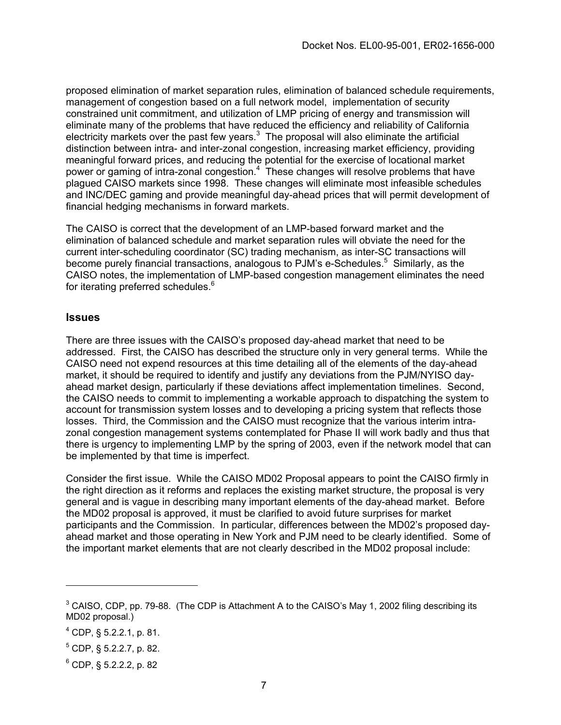proposed elimination of market separation rules, elimination of balanced schedule requirements, management of congestion based on a full network model, implementation of security constrained unit commitment, and utilization of LMP pricing of energy and transmission will eliminate many of the problems that have reduced the efficiency and reliability of California electricity markets over the past few years. $3$  The proposal will also eliminate the artificial distinction between intra- and inter-zonal congestion, increasing market efficiency, providing meaningful forward prices, and reducing the potential for the exercise of locational market power or gaming of intra-zonal congestion.<sup>[4](#page-6-1)</sup> These changes will resolve problems that have plagued CAISO markets since 1998. These changes will eliminate most infeasible schedules and INC/DEC gaming and provide meaningful day-ahead prices that will permit development of financial hedging mechanisms in forward markets.

The CAISO is correct that the development of an LMP-based forward market and the elimination of balanced schedule and market separation rules will obviate the need for the current inter-scheduling coordinator (SC) trading mechanism, as inter-SC transactions will become purely financial transactions, analogous to PJM's e-Schedules.<sup>5</sup> Similarly, as the CAISO notes, the implementation of LMP-based congestion management eliminates the need for iterating preferred schedules.<sup>6</sup>

#### **Issues**

There are three issues with the CAISO's proposed day-ahead market that need to be addressed. First, the CAISO has described the structure only in very general terms. While the CAISO need not expend resources at this time detailing all of the elements of the day-ahead market, it should be required to identify and justify any deviations from the PJM/NYISO dayahead market design, particularly if these deviations affect implementation timelines. Second, the CAISO needs to commit to implementing a workable approach to dispatching the system to account for transmission system losses and to developing a pricing system that reflects those losses. Third, the Commission and the CAISO must recognize that the various interim intrazonal congestion management systems contemplated for Phase II will work badly and thus that there is urgency to implementing LMP by the spring of 2003, even if the network model that can be implemented by that time is imperfect.

Consider the first issue. While the CAISO MD02 Proposal appears to point the CAISO firmly in the right direction as it reforms and replaces the existing market structure, the proposal is very general and is vague in describing many important elements of the day-ahead market. Before the MD02 proposal is approved, it must be clarified to avoid future surprises for market participants and the Commission. In particular, differences between the MD02's proposed dayahead market and those operating in New York and PJM need to be clearly identified. Some of the important market elements that are not clearly described in the MD02 proposal include:

<span id="page-6-0"></span><sup>&</sup>lt;sup>3</sup> CAISO, CDP, pp. 79-88. (The CDP is Attachment A to the CAISO's May 1, 2002 filing describing its MD02 proposal.)

<span id="page-6-1"></span> $^{4}$  CDP, § 5.2.2.1, p. 81.

<span id="page-6-2"></span> $5$  CDP, § 5.2.2.7, p. 82.

<span id="page-6-3"></span><sup>6</sup> CDP, § 5.2.2.2, p. 82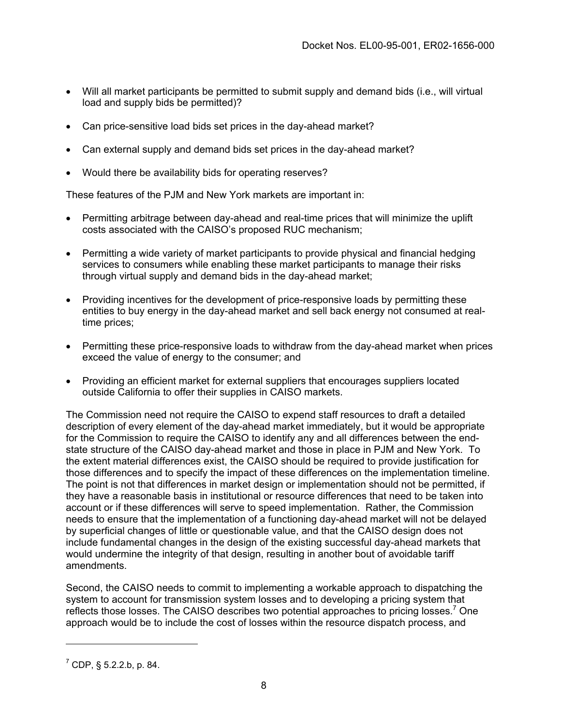- Will all market participants be permitted to submit supply and demand bids (i.e., will virtual load and supply bids be permitted)?
- Can price-sensitive load bids set prices in the day-ahead market?
- Can external supply and demand bids set prices in the day-ahead market?
- Would there be availability bids for operating reserves?

These features of the PJM and New York markets are important in:

- Permitting arbitrage between day-ahead and real-time prices that will minimize the uplift costs associated with the CAISO's proposed RUC mechanism;
- Permitting a wide variety of market participants to provide physical and financial hedging services to consumers while enabling these market participants to manage their risks through virtual supply and demand bids in the day-ahead market;
- Providing incentives for the development of price-responsive loads by permitting these entities to buy energy in the day-ahead market and sell back energy not consumed at realtime prices;
- Permitting these price-responsive loads to withdraw from the day-ahead market when prices exceed the value of energy to the consumer; and
- Providing an efficient market for external suppliers that encourages suppliers located outside California to offer their supplies in CAISO markets.

The Commission need not require the CAISO to expend staff resources to draft a detailed description of every element of the day-ahead market immediately, but it would be appropriate for the Commission to require the CAISO to identify any and all differences between the endstate structure of the CAISO day-ahead market and those in place in PJM and New York. To the extent material differences exist, the CAISO should be required to provide justification for those differences and to specify the impact of these differences on the implementation timeline. The point is not that differences in market design or implementation should not be permitted, if they have a reasonable basis in institutional or resource differences that need to be taken into account or if these differences will serve to speed implementation. Rather, the Commission needs to ensure that the implementation of a functioning day-ahead market will not be delayed by superficial changes of little or questionable value, and that the CAISO design does not include fundamental changes in the design of the existing successful day-ahead markets that would undermine the integrity of that design, resulting in another bout of avoidable tariff amendments.

Second, the CAISO needs to commit to implementing a workable approach to dispatching the system to account for transmission system losses and to developing a pricing system that reflects those losses. The CAISO describes two potential approaches to pricing losses.<sup>7</sup> One approach would be to include the cost of losses within the resource dispatch process, and

<span id="page-7-0"></span> $7$  CDP, § 5.2.2.b, p. 84.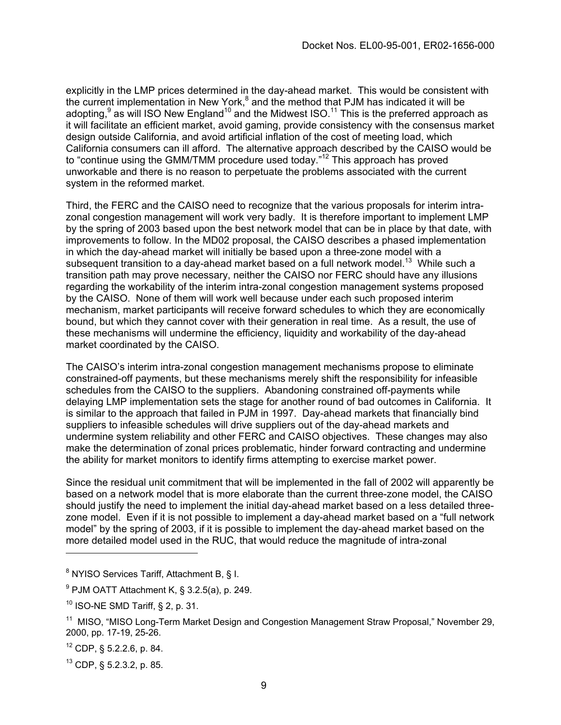explicitly in the LMP prices determined in the day-ahead market. This would be consistent with the current implementation in New York,<sup>[8](#page-8-0)</sup> and the method that PJM has indicated it will be adopting,<sup>[9](#page-8-1)</sup> as will ISO New England<sup>10</sup> and the Midwest ISO.<sup>11</sup> This is the preferred approach as it will facilitate an efficient market, avoid gaming, provide consistency with the consensus market design outside California, and avoid artificial inflation of the cost of meeting load, which California consumers can ill afford. The alternative approach described by the CAISO would be to "continue using the GMM/TMM procedure used today."[12](#page-8-4) This approach has proved unworkable and there is no reason to perpetuate the problems associated with the current system in the reformed market.

Third, the FERC and the CAISO need to recognize that the various proposals for interim intrazonal congestion management will work very badly. It is therefore important to implement LMP by the spring of 2003 based upon the best network model that can be in place by that date, with improvements to follow. In the MD02 proposal, the CAISO describes a phased implementation in which the day-ahead market will initially be based upon a three-zone model with a subsequent transition to a day-ahead market based on a full network model.<sup>13</sup> While such a transition path may prove necessary, neither the CAISO nor FERC should have any illusions regarding the workability of the interim intra-zonal congestion management systems proposed by the CAISO. None of them will work well because under each such proposed interim mechanism, market participants will receive forward schedules to which they are economically bound, but which they cannot cover with their generation in real time. As a result, the use of these mechanisms will undermine the efficiency, liquidity and workability of the day-ahead market coordinated by the CAISO.

The CAISO's interim intra-zonal congestion management mechanisms propose to eliminate constrained-off payments, but these mechanisms merely shift the responsibility for infeasible schedules from the CAISO to the suppliers. Abandoning constrained off-payments while delaying LMP implementation sets the stage for another round of bad outcomes in California. It is similar to the approach that failed in PJM in 1997. Day-ahead markets that financially bind suppliers to infeasible schedules will drive suppliers out of the day-ahead markets and undermine system reliability and other FERC and CAISO objectives. These changes may also make the determination of zonal prices problematic, hinder forward contracting and undermine the ability for market monitors to identify firms attempting to exercise market power.

Since the residual unit commitment that will be implemented in the fall of 2002 will apparently be based on a network model that is more elaborate than the current three-zone model, the CAISO should justify the need to implement the initial day-ahead market based on a less detailed threezone model. Even if it is not possible to implement a day-ahead market based on a "full network model" by the spring of 2003, if it is possible to implement the day-ahead market based on the more detailed model used in the RUC, that would reduce the magnitude of intra-zonal

<span id="page-8-0"></span> $8$  NYISO Services Tariff, Attachment B, § I.

<span id="page-8-1"></span> $9$  PJM OATT Attachment K, § 3.2.5(a), p. 249.

<span id="page-8-2"></span> $10$  ISO-NE SMD Tariff, § 2, p. 31.

<span id="page-8-3"></span><sup>&</sup>lt;sup>11</sup> MISO, "MISO Long-Term Market Design and Congestion Management Straw Proposal," November 29, 2000, pp. 17-19, 25-26.

<span id="page-8-4"></span> $12$  CDP, § 5.2.2.6, p. 84.

<span id="page-8-5"></span> $13$  CDP, § 5.2.3.2, p. 85.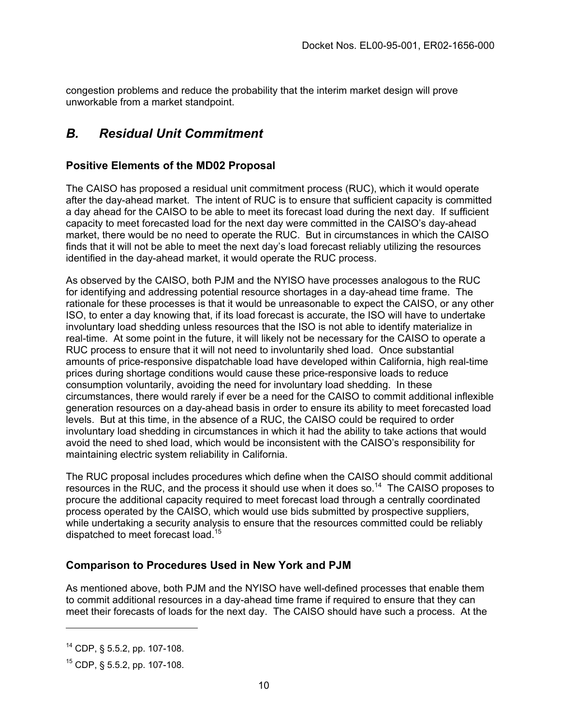congestion problems and reduce the probability that the interim market design will prove unworkable from a market standpoint.

## *B. Residual Unit Commitment*

#### **Positive Elements of the MD02 Proposal**

The CAISO has proposed a residual unit commitment process (RUC), which it would operate after the day-ahead market. The intent of RUC is to ensure that sufficient capacity is committed a day ahead for the CAISO to be able to meet its forecast load during the next day. If sufficient capacity to meet forecasted load for the next day were committed in the CAISO's day-ahead market, there would be no need to operate the RUC. But in circumstances in which the CAISO finds that it will not be able to meet the next day's load forecast reliably utilizing the resources identified in the day-ahead market, it would operate the RUC process.

As observed by the CAISO, both PJM and the NYISO have processes analogous to the RUC for identifying and addressing potential resource shortages in a day-ahead time frame. The rationale for these processes is that it would be unreasonable to expect the CAISO, or any other ISO, to enter a day knowing that, if its load forecast is accurate, the ISO will have to undertake involuntary load shedding unless resources that the ISO is not able to identify materialize in real-time. At some point in the future, it will likely not be necessary for the CAISO to operate a RUC process to ensure that it will not need to involuntarily shed load. Once substantial amounts of price-responsive dispatchable load have developed within California, high real-time prices during shortage conditions would cause these price-responsive loads to reduce consumption voluntarily, avoiding the need for involuntary load shedding. In these circumstances, there would rarely if ever be a need for the CAISO to commit additional inflexible generation resources on a day-ahead basis in order to ensure its ability to meet forecasted load levels. But at this time, in the absence of a RUC, the CAISO could be required to order involuntary load shedding in circumstances in which it had the ability to take actions that would avoid the need to shed load, which would be inconsistent with the CAISO's responsibility for maintaining electric system reliability in California.

The RUC proposal includes procedures which define when the CAISO should commit additional resources in the RUC, and the process it should use when it does so.[14](#page-9-0) The CAISO proposes to procure the additional capacity required to meet forecast load through a centrally coordinated process operated by the CAISO, which would use bids submitted by prospective suppliers, while undertaking a security analysis to ensure that the resources committed could be reliably dispatched to meet forecast load.<sup>15</sup>

#### **Comparison to Procedures Used in New York and PJM**

As mentioned above, both PJM and the NYISO have well-defined processes that enable them to commit additional resources in a day-ahead time frame if required to ensure that they can meet their forecasts of loads for the next day. The CAISO should have such a process. At the

<span id="page-9-0"></span> $14$  CDP, § 5.5.2, pp. 107-108.

<span id="page-9-1"></span><sup>15</sup> CDP, § 5.5.2, pp. 107-108.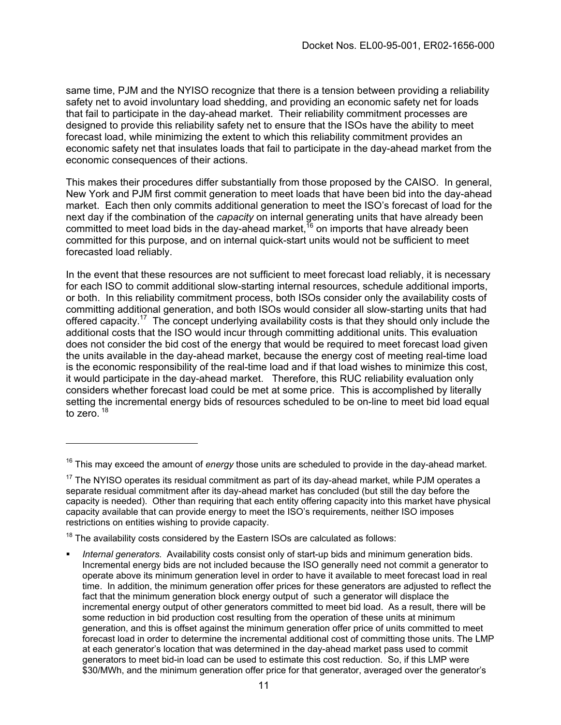<span id="page-10-2"></span>same time, PJM and the NYISO recognize that there is a tension between providing a reliability safety net to avoid involuntary load shedding, and providing an economic safety net for loads that fail to participate in the day-ahead market. Their reliability commitment processes are designed to provide this reliability safety net to ensure that the ISOs have the ability to meet forecast load, while minimizing the extent to which this reliability commitment provides an economic safety net that insulates loads that fail to participate in the day-ahead market from the economic consequences of their actions.

This makes their procedures differ substantially from those proposed by the CAISO. In general, New York and PJM first commit generation to meet loads that have been bid into the day-ahead market. Each then only commits additional generation to meet the ISO's forecast of load for the next day if the combination of the *capacity* on internal generating units that have already been committed to meet load bids in the day-ahead market.<sup>16</sup> on imports that have already been committed for this purpose, and on internal quick-start units would not be sufficient to meet forecasted load reliably.

In the event that these resources are not sufficient to meet forecast load reliably, it is necessary for each ISO to commit additional slow-starting internal resources, schedule additional imports, or both. In this reliability commitment process, both ISOs consider only the availability costs of committing additional generation, and both ISOs would consider all slow-starting units that had offered capacity.<sup>17</sup> The concept underlying availability costs is that they should only include the additional costs that the ISO would incur through committing additional units. This evaluation does not consider the bid cost of the energy that would be required to meet forecast load given the units available in the day-ahead market, because the energy cost of meeting real-time load is the economic responsibility of the real-time load and if that load wishes to minimize this cost, it would participate in the day-ahead market. Therefore, this RUC reliability evaluation only considers whether forecast load could be met at some price. This is accomplished by literally setting the incremental energy bids of resources scheduled to be on-line to meet bid load equal to zero.  $18$ 

 $18$  The availability costs considered by the Eastern ISOs are calculated as follows:

<span id="page-10-0"></span><sup>16</sup> This may exceed the amount of *energy* those units are scheduled to provide in the day-ahead market.

<span id="page-10-1"></span> $17$  The NYISO operates its residual commitment as part of its day-ahead market, while PJM operates a separate residual commitment after its day-ahead market has concluded (but still the day before the capacity is needed). Other than requiring that each entity offering capacity into this market have physical capacity available that can provide energy to meet the ISO's requirements, neither ISO imposes restrictions on entities wishing to provide capacity.

*Internal generators.* Availability costs consist only of start-up bids and minimum generation bids. Incremental energy bids are not included because the ISO generally need not commit a generator to operate above its minimum generation level in order to have it available to meet forecast load in real time. In addition, the minimum generation offer prices for these generators are adjusted to reflect the fact that the minimum generation block energy output of such a generator will displace the incremental energy output of other generators committed to meet bid load. As a result, there will be some reduction in bid production cost resulting from the operation of these units at minimum generation, and this is offset against the minimum generation offer price of units committed to meet forecast load in order to determine the incremental additional cost of committing those units. The LMP at each generator's location that was determined in the day-ahead market pass used to commit generators to meet bid-in load can be used to estimate this cost reduction. So, if this LMP were \$30/MWh, and the minimum generation offer price for that generator, averaged over the generator's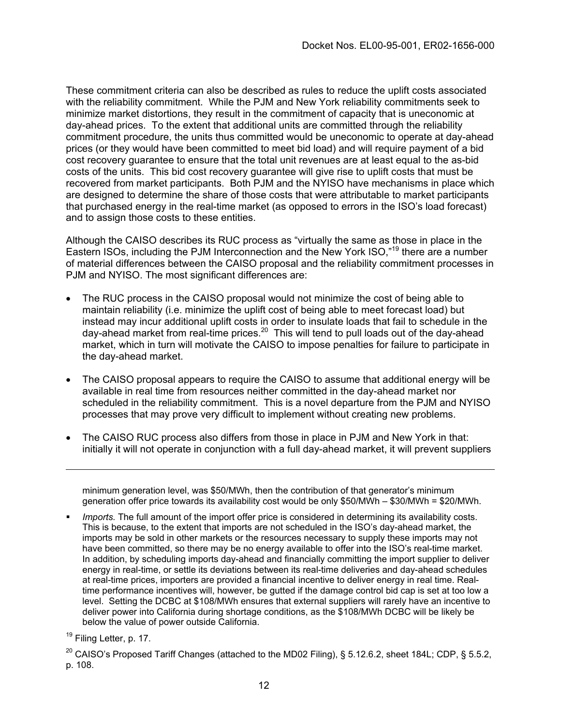These commitment criteria can also be described as rules to reduce the uplift costs associated with the reliability commitment. While the PJM and New York reliability commitments seek to minimize market distortions, they result in the commitment of capacity that is uneconomic at day-ahead prices. To the extent that additional units are committed through the reliability commitment procedure, the units thus committed would be uneconomic to operate at day-ahead prices (or they would have been committed to meet bid load) and will require payment of a bid cost recovery guarantee to ensure that the total unit revenues are at least equal to the as-bid costs of the units. This bid cost recovery guarantee will give rise to uplift costs that must be recovered from market participants. Both PJM and the NYISO have mechanisms in place which are designed to determine the share of those costs that were attributable to market participants that purchased energy in the real-time market (as opposed to errors in the ISO's load forecast) and to assign those costs to these entities.

Although the CAISO describes its RUC process as "virtually the same as those in place in the Eastern ISOs, including the PJM Interconnection and the New York ISO,"[19](#page-11-0) there are a number of material differences between the CAISO proposal and the reliability commitment processes in PJM and NYISO. The most significant differences are:

- The RUC process in the CAISO proposal would not minimize the cost of being able to maintain reliability (i.e. minimize the uplift cost of being able to meet forecast load) but instead may incur additional uplift costs in order to insulate loads that fail to schedule in the day-ahead market from real-time prices.<sup>20</sup> This will tend to pull loads out of the day-ahead market, which in turn will motivate the CAISO to impose penalties for failure to participate in the day-ahead market.
- The CAISO proposal appears to require the CAISO to assume that additional energy will be available in real time from resources neither committed in the day-ahead market nor scheduled in the reliability commitment. This is a novel departure from the PJM and NYISO processes that may prove very difficult to implement without creating new problems.
- The CAISO RUC process also differs from those in place in PJM and New York in that: initially it will not operate in conjunction with a full day-ahead market, it will prevent suppliers

- *Imports.* The full amount of the import offer price is considered in determining its availability costs. This is because, to the extent that imports are not scheduled in the ISO's day-ahead market, the imports may be sold in other markets or the resources necessary to supply these imports may not have been committed, so there may be no energy available to offer into the ISO's real-time market. In addition, by scheduling imports day-ahead and financially committing the import supplier to deliver energy in real-time, or settle its deviations between its real-time deliveries and day-ahead schedules at real-time prices, importers are provided a financial incentive to deliver energy in real time. Realtime performance incentives will, however, be gutted if the damage control bid cap is set at too low a level. Setting the DCBC at \$108/MWh ensures that external suppliers will rarely have an incentive to deliver power into California during shortage conditions, as the \$108/MWh DCBC will be likely be below the value of power outside California.
- <span id="page-11-0"></span> $19$  Filing Letter, p. 17.

minimum generation level, was \$50/MWh, then the contribution of that generator's minimum generation offer price towards its availability cost would be only \$50/MWh – \$30/MWh = \$20/MWh.

<span id="page-11-1"></span><sup>&</sup>lt;sup>20</sup> CAISO's Proposed Tariff Changes (attached to the MD02 Filing), § 5.12.6.2, sheet 184L; CDP, § 5.5.2, p. 108.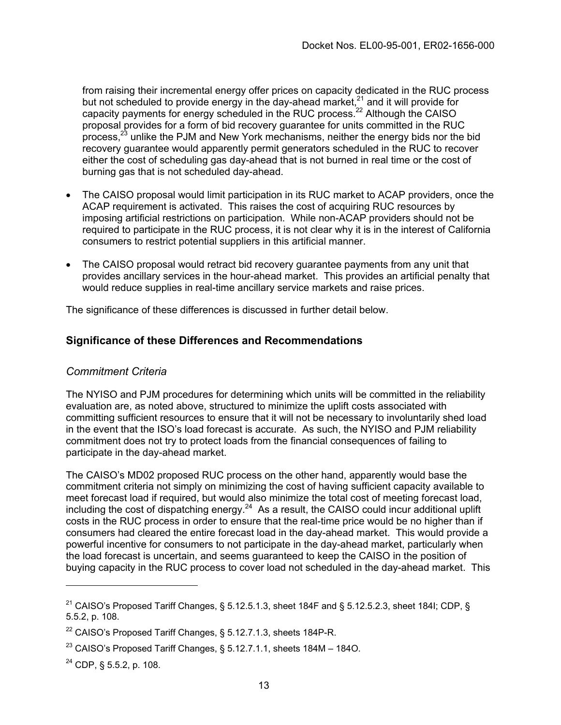from raising their incremental energy offer prices on capacity dedicated in the RUC process but not scheduled to provide energy in the day-ahead market,<sup>21</sup> and it will provide for capacity payments for energy scheduled in the RUC process.<sup>22</sup> Although the CAISO proposal provides for a form of bid recovery guarantee for units committed in the RUC process,  $2^3$  unlike the PJM and New York mechanisms, neither the energy bids nor the bid recovery guarantee would apparently permit generators scheduled in the RUC to recover either the cost of scheduling gas day-ahead that is not burned in real time or the cost of burning gas that is not scheduled day-ahead.

- The CAISO proposal would limit participation in its RUC market to ACAP providers, once the ACAP requirement is activated. This raises the cost of acquiring RUC resources by imposing artificial restrictions on participation. While non-ACAP providers should not be required to participate in the RUC process, it is not clear why it is in the interest of California consumers to restrict potential suppliers in this artificial manner.
- The CAISO proposal would retract bid recovery guarantee payments from any unit that provides ancillary services in the hour-ahead market. This provides an artificial penalty that would reduce supplies in real-time ancillary service markets and raise prices.

The significance of these differences is discussed in further detail below.

#### **Significance of these Differences and Recommendations**

#### *Commitment Criteria*

The NYISO and PJM procedures for determining which units will be committed in the reliability evaluation are, as noted above, structured to minimize the uplift costs associated with committing sufficient resources to ensure that it will not be necessary to involuntarily shed load in the event that the ISO's load forecast is accurate. As such, the NYISO and PJM reliability commitment does not try to protect loads from the financial consequences of failing to participate in the day-ahead market.

The CAISO's MD02 proposed RUC process on the other hand, apparently would base the commitment criteria not simply on minimizing the cost of having sufficient capacity available to meet forecast load if required, but would also minimize the total cost of meeting forecast load, including the cost of dispatching energy. $^{24}$  As a result, the CAISO could incur additional uplift costs in the RUC process in order to ensure that the real-time price would be no higher than if consumers had cleared the entire forecast load in the day-ahead market. This would provide a powerful incentive for consumers to not participate in the day-ahead market, particularly when the load forecast is uncertain, and seems guaranteed to keep the CAISO in the position of buying capacity in the RUC process to cover load not scheduled in the day-ahead market. This

<span id="page-12-0"></span><sup>&</sup>lt;sup>21</sup> CAISO's Proposed Tariff Changes, § 5.12.5.1.3, sheet 184F and § 5.12.5.2.3, sheet 184I; CDP, § 5.5.2, p. 108.

<span id="page-12-1"></span><sup>&</sup>lt;sup>22</sup> CAISO's Proposed Tariff Changes, § 5.12.7.1.3, sheets 184P-R.

<span id="page-12-2"></span> $^{23}$  CAISO's Proposed Tariff Changes, § 5.12.7.1.1, sheets 184M - 184O.

<span id="page-12-3"></span><sup>24</sup> CDP, § 5.5.2, p. 108.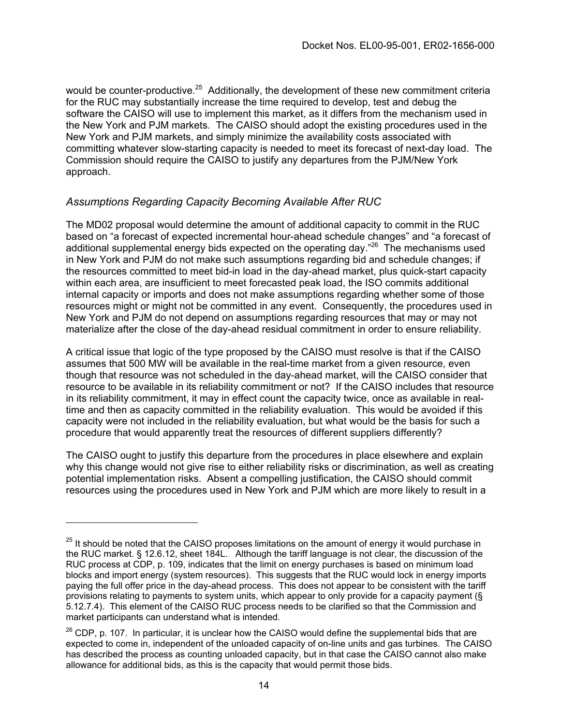would be counter-productive.<sup>25</sup> Additionally, the development of these new commitment criteria for the RUC may substantially increase the time required to develop, test and debug the software the CAISO will use to implement this market, as it differs from the mechanism used in the New York and PJM markets. The CAISO should adopt the existing procedures used in the New York and PJM markets, and simply minimize the availability costs associated with committing whatever slow-starting capacity is needed to meet its forecast of next-day load. The Commission should require the CAISO to justify any departures from the PJM/New York approach.

### *Assumptions Regarding Capacity Becoming Available After RUC*

The MD02 proposal would determine the amount of additional capacity to commit in the RUC based on "a forecast of expected incremental hour-ahead schedule changes" and "a forecast of additional supplemental energy bids expected on the operating day."<sup>26</sup> The mechanisms used in New York and PJM do not make such assumptions regarding bid and schedule changes; if the resources committed to meet bid-in load in the day-ahead market, plus quick-start capacity within each area, are insufficient to meet forecasted peak load, the ISO commits additional internal capacity or imports and does not make assumptions regarding whether some of those resources might or might not be committed in any event. Consequently, the procedures used in New York and PJM do not depend on assumptions regarding resources that may or may not materialize after the close of the day-ahead residual commitment in order to ensure reliability.

A critical issue that logic of the type proposed by the CAISO must resolve is that if the CAISO assumes that 500 MW will be available in the real-time market from a given resource, even though that resource was not scheduled in the day-ahead market, will the CAISO consider that resource to be available in its reliability commitment or not? If the CAISO includes that resource in its reliability commitment, it may in effect count the capacity twice, once as available in realtime and then as capacity committed in the reliability evaluation. This would be avoided if this capacity were not included in the reliability evaluation, but what would be the basis for such a procedure that would apparently treat the resources of different suppliers differently?

The CAISO ought to justify this departure from the procedures in place elsewhere and explain why this change would not give rise to either reliability risks or discrimination, as well as creating potential implementation risks. Absent a compelling justification, the CAISO should commit resources using the procedures used in New York and PJM which are more likely to result in a

<span id="page-13-0"></span> $25$  It should be noted that the CAISO proposes limitations on the amount of energy it would purchase in the RUC market. § 12.6.12, sheet 184L. Although the tariff language is not clear, the discussion of the RUC process at CDP, p. 109, indicates that the limit on energy purchases is based on minimum load blocks and import energy (system resources). This suggests that the RUC would lock in energy imports paying the full offer price in the day-ahead process. This does not appear to be consistent with the tariff provisions relating to payments to system units, which appear to only provide for a capacity payment (§ 5.12.7.4). This element of the CAISO RUC process needs to be clarified so that the Commission and market participants can understand what is intended.

<span id="page-13-1"></span><sup>26</sup> CDP, p. 107.In particular, it is unclear how the CAISO would define the supplemental bids that are expected to come in, independent of the unloaded capacity of on-line units and gas turbines. The CAISO has described the process as counting unloaded capacity, but in that case the CAISO cannot also make allowance for additional bids, as this is the capacity that would permit those bids.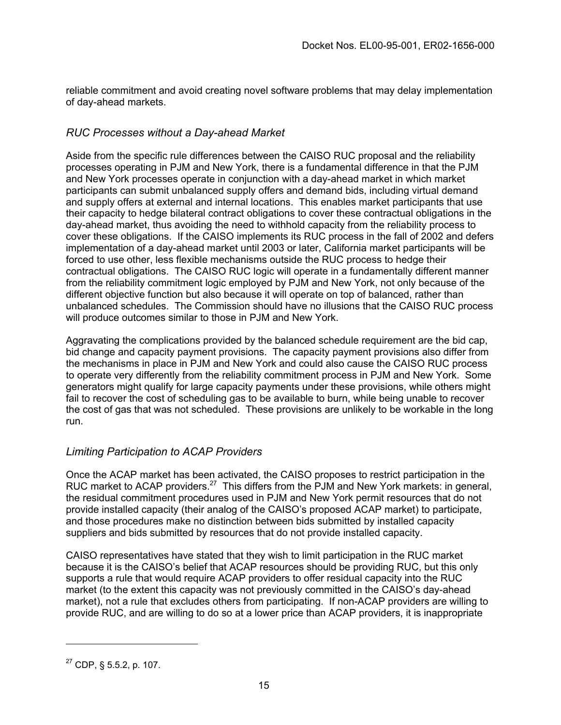reliable commitment and avoid creating novel software problems that may delay implementation of day-ahead markets.

#### *RUC Processes without a Day-ahead Market*

Aside from the specific rule differences between the CAISO RUC proposal and the reliability processes operating in PJM and New York, there is a fundamental difference in that the PJM and New York processes operate in conjunction with a day-ahead market in which market participants can submit unbalanced supply offers and demand bids, including virtual demand and supply offers at external and internal locations. This enables market participants that use their capacity to hedge bilateral contract obligations to cover these contractual obligations in the day-ahead market, thus avoiding the need to withhold capacity from the reliability process to cover these obligations. If the CAISO implements its RUC process in the fall of 2002 and defers implementation of a day-ahead market until 2003 or later, California market participants will be forced to use other, less flexible mechanisms outside the RUC process to hedge their contractual obligations. The CAISO RUC logic will operate in a fundamentally different manner from the reliability commitment logic employed by PJM and New York, not only because of the different objective function but also because it will operate on top of balanced, rather than unbalanced schedules. The Commission should have no illusions that the CAISO RUC process will produce outcomes similar to those in PJM and New York.

Aggravating the complications provided by the balanced schedule requirement are the bid cap, bid change and capacity payment provisions. The capacity payment provisions also differ from the mechanisms in place in PJM and New York and could also cause the CAISO RUC process to operate very differently from the reliability commitment process in PJM and New York. Some generators might qualify for large capacity payments under these provisions, while others might fail to recover the cost of scheduling gas to be available to burn, while being unable to recover the cost of gas that was not scheduled. These provisions are unlikely to be workable in the long run.

#### *Limiting Participation to ACAP Providers*

Once the ACAP market has been activated, the CAISO proposes to restrict participation in the RUC market to ACAP providers.<sup>27</sup> This differs from the PJM and New York markets: in general, the residual commitment procedures used in PJM and New York permit resources that do not provide installed capacity (their analog of the CAISO's proposed ACAP market) to participate, and those procedures make no distinction between bids submitted by installed capacity suppliers and bids submitted by resources that do not provide installed capacity.

CAISO representatives have stated that they wish to limit participation in the RUC market because it is the CAISO's belief that ACAP resources should be providing RUC, but this only supports a rule that would require ACAP providers to offer residual capacity into the RUC market (to the extent this capacity was not previously committed in the CAISO's day-ahead market), not a rule that excludes others from participating. If non-ACAP providers are willing to provide RUC, and are willing to do so at a lower price than ACAP providers, it is inappropriate

<span id="page-14-0"></span> $27$  CDP, § 5.5.2, p. 107.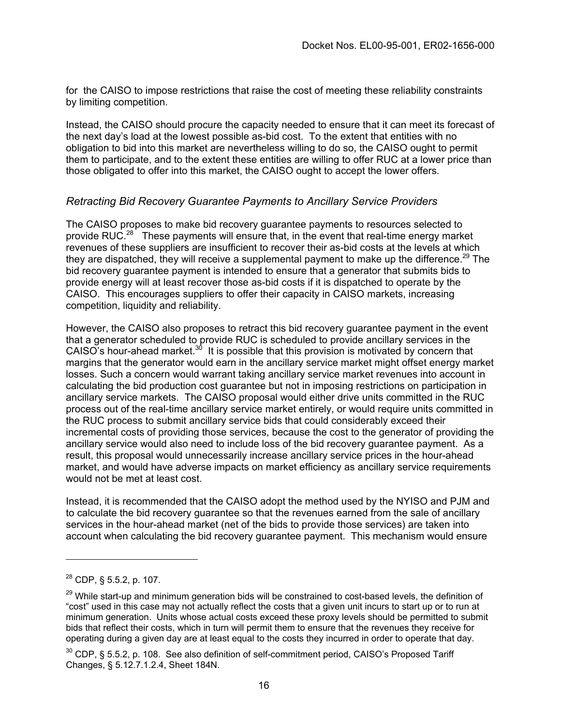for the CAISO to impose restrictions that raise the cost of meeting these reliability constraints by limiting competition.

Instead, the CAISO should procure the capacity needed to ensure that it can meet its forecast of the next day's load at the lowest possible as-bid cost. To the extent that entities with no obligation to bid into this market are nevertheless willing to do so, the CAISO ought to permit them to participate, and to the extent these entities are willing to offer RUC at a lower price than those obligated to offer into this market, the CAISO ought to accept the lower offers.

#### *Retracting Bid Recovery Guarantee Payments to Ancillary Service Providers*

The CAISO proposes to make bid recovery guarantee payments to resources selected to provide RUC.<sup>28</sup> These payments will ensure that, in the event that real-time energy market revenues of these suppliers are insufficient to recover their as-bid costs at the levels at which they are dispatched, they will receive a supplemental payment to make up the difference.<sup>29</sup> The bid recovery guarantee payment is intended to ensure that a generator that submits bids to provide energy will at least recover those as-bid costs if it is dispatched to operate by the CAISO. This encourages suppliers to offer their capacity in CAISO markets, increasing competition, liquidity and reliability.

However, the CAISO also proposes to retract this bid recovery guarantee payment in the event that a generator scheduled to provide RUC is scheduled to provide ancillary services in the CAISO's hour-ahead market. $30$  It is possible that this provision is motivated by concern that margins that the generator would earn in the ancillary service market might offset energy market losses. Such a concern would warrant taking ancillary service market revenues into account in calculating the bid production cost guarantee but not in imposing restrictions on participation in ancillary service markets. The CAISO proposal would either drive units committed in the RUC process out of the real-time ancillary service market entirely, or would require units committed in the RUC process to submit ancillary service bids that could considerably exceed their incremental costs of providing those services, because the cost to the generator of providing the ancillary service would also need to include loss of the bid recovery guarantee payment. As a result, this proposal would unnecessarily increase ancillary service prices in the hour-ahead market, and would have adverse impacts on market efficiency as ancillary service requirements would not be met at least cost.

Instead, it is recommended that the CAISO adopt the method used by the NYISO and PJM and to calculate the bid recovery guarantee so that the revenues earned from the sale of ancillary services in the hour-ahead market (net of the bids to provide those services) are taken into account when calculating the bid recovery guarantee payment. This mechanism would ensure

<span id="page-15-0"></span> $^{28}$  CDP, § 5.5.2, p. 107.

<span id="page-15-1"></span><sup>&</sup>lt;sup>29</sup> While start-up and minimum generation bids will be constrained to cost-based levels, the definition of "cost" used in this case may not actually reflect the costs that a given unit incurs to start up or to run at minimum generation. Units whose actual costs exceed these proxy levels should be permitted to submit bids that reflect their costs, which in turn will permit them to ensure that the revenues they receive for operating during a given day are at least equal to the costs they incurred in order to operate that day.

<span id="page-15-2"></span> $30$  CDP, § 5.5.2, p. 108. See also definition of self-commitment period, CAISO's Proposed Tariff Changes, § 5.12.7.1.2.4, Sheet 184N.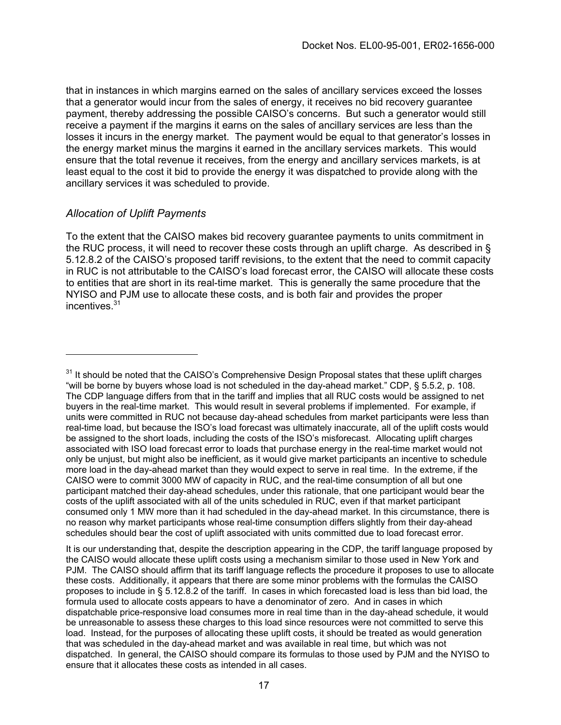that in instances in which margins earned on the sales of ancillary services exceed the losses that a generator would incur from the sales of energy, it receives no bid recovery guarantee payment, thereby addressing the possible CAISO's concerns. But such a generator would still receive a payment if the margins it earns on the sales of ancillary services are less than the losses it incurs in the energy market. The payment would be equal to that generator's losses in the energy market minus the margins it earned in the ancillary services markets. This would ensure that the total revenue it receives, from the energy and ancillary services markets, is at least equal to the cost it bid to provide the energy it was dispatched to provide along with the ancillary services it was scheduled to provide.

#### *Allocation of Uplift Payments*

To the extent that the CAISO makes bid recovery guarantee payments to units commitment in the RUC process, it will need to recover these costs through an uplift charge. As described in § 5.12.8.2 of the CAISO's proposed tariff revisions, to the extent that the need to commit capacity in RUC is not attributable to the CAISO's load forecast error, the CAISO will allocate these costs to entities that are short in its real-time market. This is generally the same procedure that the NYISO and PJM use to allocate these costs, and is both fair and provides the proper incentives[.31](#page-16-0)

<span id="page-16-0"></span> $31$  It should be noted that the CAISO's Comprehensive Design Proposal states that these uplift charges "will be borne by buyers whose load is not scheduled in the day-ahead market." CDP, § 5.5.2, p. 108. The CDP language differs from that in the tariff and implies that all RUC costs would be assigned to net buyers in the real-time market. This would result in several problems if implemented. For example, if units were committed in RUC not because day-ahead schedules from market participants were less than real-time load, but because the ISO's load forecast was ultimately inaccurate, all of the uplift costs would be assigned to the short loads, including the costs of the ISO's misforecast. Allocating uplift charges associated with ISO load forecast error to loads that purchase energy in the real-time market would not only be unjust, but might also be inefficient, as it would give market participants an incentive to schedule more load in the day-ahead market than they would expect to serve in real time. In the extreme, if the CAISO were to commit 3000 MW of capacity in RUC, and the real-time consumption of all but one participant matched their day-ahead schedules, under this rationale, that one participant would bear the costs of the uplift associated with all of the units scheduled in RUC, even if that market participant consumed only 1 MW more than it had scheduled in the day-ahead market. In this circumstance, there is no reason why market participants whose real-time consumption differs slightly from their day-ahead schedules should bear the cost of uplift associated with units committed due to load forecast error.

It is our understanding that, despite the description appearing in the CDP, the tariff language proposed by the CAISO would allocate these uplift costs using a mechanism similar to those used in New York and PJM. The CAISO should affirm that its tariff language reflects the procedure it proposes to use to allocate these costs. Additionally, it appears that there are some minor problems with the formulas the CAISO proposes to include in § 5.12.8.2 of the tariff. In cases in which forecasted load is less than bid load, the formula used to allocate costs appears to have a denominator of zero. And in cases in which dispatchable price-responsive load consumes more in real time than in the day-ahead schedule, it would be unreasonable to assess these charges to this load since resources were not committed to serve this load. Instead, for the purposes of allocating these uplift costs, it should be treated as would generation that was scheduled in the day-ahead market and was available in real time, but which was not dispatched. In general, the CAISO should compare its formulas to those used by PJM and the NYISO to ensure that it allocates these costs as intended in all cases.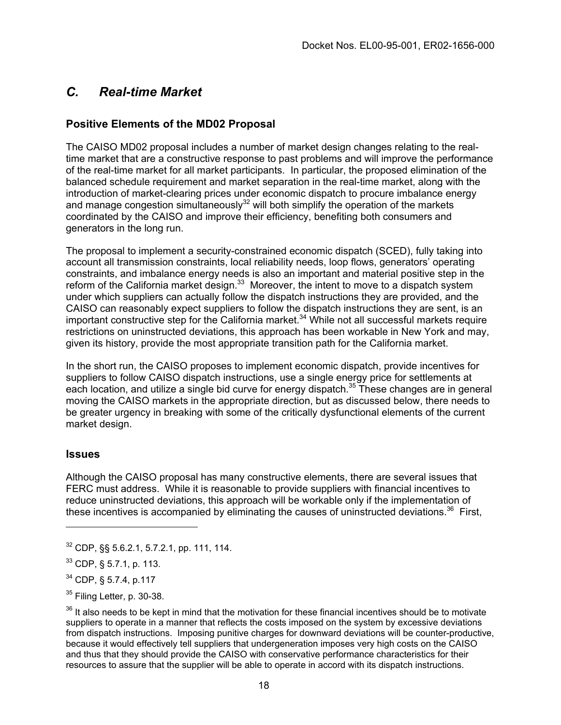## <span id="page-17-4"></span>*C. Real-time Market*

### **Positive Elements of the MD02 Proposal**

The CAISO MD02 proposal includes a number of market design changes relating to the realtime market that are a constructive response to past problems and will improve the performance of the real-time market for all market participants. In particular, the proposed elimination of the balanced schedule requirement and market separation in the real-time market, along with the introduction of market-clearing prices under economic dispatch to procure imbalance energy and manage congestion simultaneously $32$  will both simplify the operation of the markets coordinated by the CAISO and improve their efficiency, benefiting both consumers and generators in the long run.

The proposal to implement a security-constrained economic dispatch (SCED), fully taking into account all transmission constraints, local reliability needs, loop flows, generators' operating constraints, and imbalance energy needs is also an important and material positive step in the reform of the California market design.<sup>33</sup> Moreover, the intent to move to a dispatch system under which suppliers can actually follow the dispatch instructions they are provided, and the CAISO can reasonably expect suppliers to follow the dispatch instructions they are sent, is an important constructive step for the California market.[34](#page-17-2) While not all successful markets require restrictions on uninstructed deviations, this approach has been workable in New York and may, given its history, provide the most appropriate transition path for the California market.

In the short run, the CAISO proposes to implement economic dispatch, provide incentives for suppliers to follow CAISO dispatch instructions, use a single energy price for settlements at each location, and utilize a single bid curve for energy dispatch.<sup>35</sup> These changes are in general moving the CAISO markets in the appropriate direction, but as discussed below, there needs to be greater urgency in breaking with some of the critically dysfunctional elements of the current market design.

#### **Issues**

Although the CAISO proposal has many constructive elements, there are several issues that FERC must address. While it is reasonable to provide suppliers with financial incentives to reduce uninstructed deviations, this approach will be workable only if the implementation of these incentives is accompanied by eliminating the causes of uninstructed deviations.<sup>36</sup> First,

<span id="page-17-0"></span> $32$  CDP,  $\S$ § 5.6.2.1, 5.7.2.1, pp. 111, 114.

<span id="page-17-1"></span> $33$  CDP, § 5.7.1, p. 113.

<span id="page-17-2"></span><sup>34</sup> CDP, § 5.7.4, p.117

<span id="page-17-3"></span><sup>&</sup>lt;sup>35</sup> Filing Letter, p. 30-38.

 $36$  It also needs to be kept in mind that the motivation for these financial incentives should be to motivate suppliers to operate in a manner that reflects the costs imposed on the system by excessive deviations from dispatch instructions. Imposing punitive charges for downward deviations will be counter-productive, because it would effectively tell suppliers that undergeneration imposes very high costs on the CAISO and thus that they should provide the CAISO with conservative performance characteristics for their resources to assure that the supplier will be able to operate in accord with its dispatch instructions.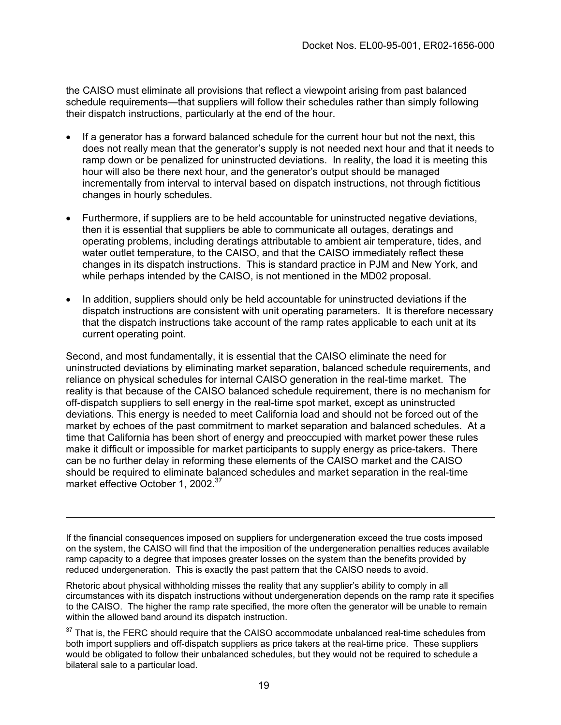the CAISO must eliminate all provisions that reflect a viewpoint arising from past balanced schedule requirements—that suppliers will follow their schedules rather than simply following their dispatch instructions, particularly at the end of the hour.

- If a generator has a forward balanced schedule for the current hour but not the next, this does not really mean that the generator's supply is not needed next hour and that it needs to ramp down or be penalized for uninstructed deviations. In reality, the load it is meeting this hour will also be there next hour, and the generator's output should be managed incrementally from interval to interval based on dispatch instructions, not through fictitious changes in hourly schedules.
- Furthermore, if suppliers are to be held accountable for uninstructed negative deviations, then it is essential that suppliers be able to communicate all outages, deratings and operating problems, including deratings attributable to ambient air temperature, tides, and water outlet temperature, to the CAISO, and that the CAISO immediately reflect these changes in its dispatch instructions. This is standard practice in PJM and New York, and while perhaps intended by the CAISO, is not mentioned in the MD02 proposal.
- In addition, suppliers should only be held accountable for uninstructed deviations if the dispatch instructions are consistent with unit operating parameters. It is therefore necessary that the dispatch instructions take account of the ramp rates applicable to each unit at its current operating point.

Second, and most fundamentally, it is essential that the CAISO eliminate the need for uninstructed deviations by eliminating market separation, balanced schedule requirements, and reliance on physical schedules for internal CAISO generation in the real-time market. The reality is that because of the CAISO balanced schedule requirement, there is no mechanism for off-dispatch suppliers to sell energy in the real-time spot market, except as uninstructed deviations. This energy is needed to meet California load and should not be forced out of the market by echoes of the past commitment to market separation and balanced schedules. At a time that California has been short of energy and preoccupied with market power these rules make it difficult or impossible for market participants to supply energy as price-takers. There can be no further delay in reforming these elements of the CAISO market and the CAISO should be required to eliminate balanced schedules and market separation in the real-time market effective October 1, 2002.<sup>[37](#page-18-0)</sup>

If the financial consequences imposed on suppliers for undergeneration exceed the true costs imposed on the system, the CAISO will find that the imposition of the undergeneration penalties reduces available ramp capacity to a degree that imposes greater losses on the system than the benefits provided by reduced undergeneration. This is exactly the past pattern that the CAISO needs to avoid.

Rhetoric about physical withholding misses the reality that any supplier's ability to comply in all circumstances with its dispatch instructions without undergeneration depends on the ramp rate it specifies to the CAISO. The higher the ramp rate specified, the more often the generator will be unable to remain within the allowed band around its dispatch instruction.

<span id="page-18-0"></span><sup>&</sup>lt;sup>37</sup> That is, the FERC should require that the CAISO accommodate unbalanced real-time schedules from both import suppliers and off-dispatch suppliers as price takers at the real-time price. These suppliers would be obligated to follow their unbalanced schedules, but they would not be required to schedule a bilateral sale to a particular load.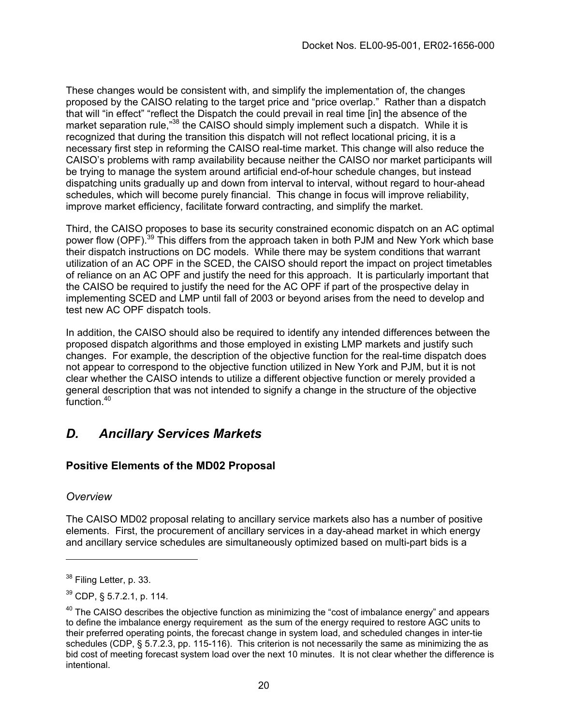These changes would be consistent with, and simplify the implementation of, the changes proposed by the CAISO relating to the target price and "price overlap." Rather than a dispatch that will "in effect" "reflect the Dispatch the could prevail in real time [in] the absence of the market separation rule,"<sup>38</sup> the CAISO should simply implement such a dispatch. While it is recognized that during the transition this dispatch will not reflect locational pricing, it is a necessary first step in reforming the CAISO real-time market. This change will also reduce the CAISO's problems with ramp availability because neither the CAISO nor market participants will be trying to manage the system around artificial end-of-hour schedule changes, but instead dispatching units gradually up and down from interval to interval, without regard to hour-ahead schedules, which will become purely financial. This change in focus will improve reliability, improve market efficiency, facilitate forward contracting, and simplify the market.

Third, the CAISO proposes to base its security constrained economic dispatch on an AC optimal power flow (OPF).<sup>39</sup> This differs from the approach taken in both PJM and New York which base their dispatch instructions on DC models. While there may be system conditions that warrant utilization of an AC OPF in the SCED, the CAISO should report the impact on project timetables of reliance on an AC OPF and justify the need for this approach. It is particularly important that the CAISO be required to justify the need for the AC OPF if part of the prospective delay in implementing SCED and LMP until fall of 2003 or beyond arises from the need to develop and test new AC OPF dispatch tools.

In addition, the CAISO should also be required to identify any intended differences between the proposed dispatch algorithms and those employed in existing LMP markets and justify such changes. For example, the description of the objective function for the real-time dispatch does not appear to correspond to the objective function utilized in New York and PJM, but it is not clear whether the CAISO intends to utilize a different objective function or merely provided a general description that was not intended to signify a change in the structure of the objective function.<sup>40</sup>

## *D. Ancillary Services Markets*

## **Positive Elements of the MD02 Proposal**

#### *Overview*

The CAISO MD02 proposal relating to ancillary service markets also has a number of positive elements. First, the procurement of ancillary services in a day-ahead market in which energy and ancillary service schedules are simultaneously optimized based on multi-part bids is a

<span id="page-19-0"></span><sup>&</sup>lt;sup>38</sup> Filing Letter, p. 33.

<span id="page-19-1"></span><sup>39</sup> CDP, § 5.7.2.1, p. 114.

<span id="page-19-2"></span> $40$  The CAISO describes the objective function as minimizing the "cost of imbalance energy" and appears to define the imbalance energy requirement as the sum of the energy required to restore AGC units to their preferred operating points, the forecast change in system load, and scheduled changes in inter-tie schedules (CDP, § 5.7.2.3, pp. 115-116). This criterion is not necessarily the same as minimizing the as bid cost of meeting forecast system load over the next 10 minutes. It is not clear whether the difference is intentional.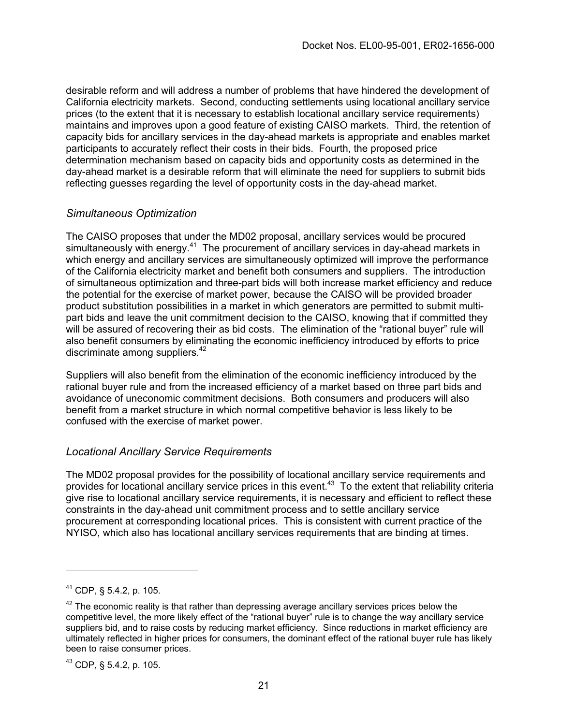desirable reform and will address a number of problems that have hindered the development of California electricity markets. Second, conducting settlements using locational ancillary service prices (to the extent that it is necessary to establish locational ancillary service requirements) maintains and improves upon a good feature of existing CAISO markets. Third, the retention of capacity bids for ancillary services in the day-ahead markets is appropriate and enables market participants to accurately reflect their costs in their bids. Fourth, the proposed price determination mechanism based on capacity bids and opportunity costs as determined in the day-ahead market is a desirable reform that will eliminate the need for suppliers to submit bids reflecting guesses regarding the level of opportunity costs in the day-ahead market.

### *Simultaneous Optimization*

The CAISO proposes that under the MD02 proposal, ancillary services would be procured simultaneously with energy.<sup>41</sup> The procurement of ancillary services in day-ahead markets in which energy and ancillary services are simultaneously optimized will improve the performance of the California electricity market and benefit both consumers and suppliers. The introduction of simultaneous optimization and three-part bids will both increase market efficiency and reduce the potential for the exercise of market power, because the CAISO will be provided broader product substitution possibilities in a market in which generators are permitted to submit multipart bids and leave the unit commitment decision to the CAISO, knowing that if committed they will be assured of recovering their as bid costs. The elimination of the "rational buyer" rule will also benefit consumers by eliminating the economic inefficiency introduced by efforts to price discriminate among suppliers. $42$ 

Suppliers will also benefit from the elimination of the economic inefficiency introduced by the rational buyer rule and from the increased efficiency of a market based on three part bids and avoidance of uneconomic commitment decisions. Both consumers and producers will also benefit from a market structure in which normal competitive behavior is less likely to be confused with the exercise of market power.

#### *Locational Ancillary Service Requirements*

The MD02 proposal provides for the possibility of locational ancillary service requirements and provides for locational ancillary service prices in this event[.43](#page-20-2) To the extent that reliability criteria give rise to locational ancillary service requirements, it is necessary and efficient to reflect these constraints in the day-ahead unit commitment process and to settle ancillary service procurement at corresponding locational prices. This is consistent with current practice of the NYISO, which also has locational ancillary services requirements that are binding at times.

<span id="page-20-0"></span><sup>41</sup> CDP, § 5.4.2, p. 105.

<span id="page-20-1"></span> $42$  The economic reality is that rather than depressing average ancillary services prices below the competitive level, the more likely effect of the "rational buyer" rule is to change the way ancillary service suppliers bid, and to raise costs by reducing market efficiency. Since reductions in market efficiency are ultimately reflected in higher prices for consumers, the dominant effect of the rational buyer rule has likely been to raise consumer prices.

<span id="page-20-2"></span><sup>43</sup> CDP, § 5.4.2, p. 105.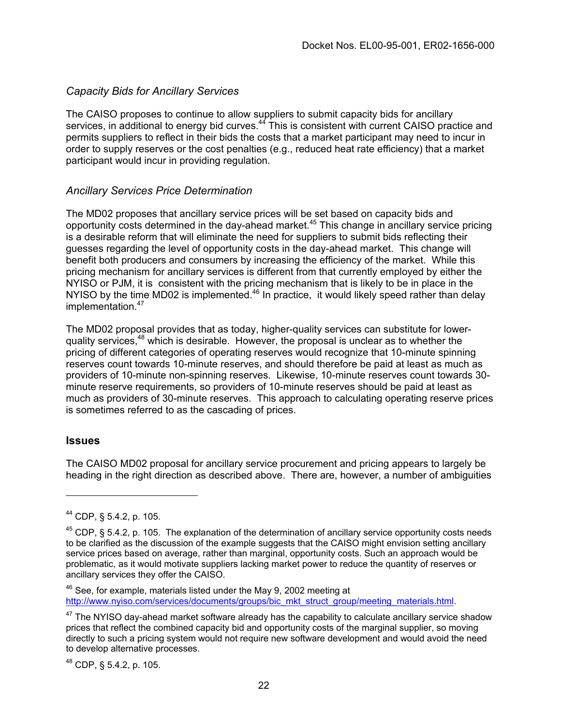#### *Capacity Bids for Ancillary Services*

The CAISO proposes to continue to allow suppliers to submit capacity bids for ancillary services, in additional to energy bid curves.<sup>44</sup> This is consistent with current CAISO practice and permits suppliers to reflect in their bids the costs that a market participant may need to incur in order to supply reserves or the cost penalties (e.g., reduced heat rate efficiency) that a market participant would incur in providing regulation.

### *Ancillary Services Price Determination*

The MD02 proposes that ancillary service prices will be set based on capacity bids and opportunity costs determined in the day-ahead market.[45](#page-21-1) This change in ancillary service pricing is a desirable reform that will eliminate the need for suppliers to submit bids reflecting their guesses regarding the level of opportunity costs in the day-ahead market. This change will benefit both producers and consumers by increasing the efficiency of the market. While this pricing mechanism for ancillary services is different from that currently employed by either the NYISO or PJM, it is consistent with the pricing mechanism that is likely to be in place in the NYISO by the time MD02 is implemented. $46$  In practice, it would likely speed rather than delay implementation.<sup>[47](#page-21-3)</sup>

The MD02 proposal provides that as today, higher-quality services can substitute for lowerquality services, $48$  which is desirable. However, the proposal is unclear as to whether the pricing of different categories of operating reserves would recognize that 10-minute spinning reserves count towards 10-minute reserves, and should therefore be paid at least as much as providers of 10-minute non-spinning reserves. Likewise, 10-minute reserves count towards 30 minute reserve requirements, so providers of 10-minute reserves should be paid at least as much as providers of 30-minute reserves. This approach to calculating operating reserve prices is sometimes referred to as the cascading of prices.

#### **Issues**

The CAISO MD02 proposal for ancillary service procurement and pricing appears to largely be heading in the right direction as described above. There are, however, a number of ambiguities

<span id="page-21-2"></span><sup>46</sup> See, for example, materials listed under the May 9, 2002 meeting at http://www.nyiso.com/services/documents/groups/bic\_mkt\_struct\_group/meeting\_materials.html.

<span id="page-21-4"></span><sup>48</sup> CDP, § 5.4.2, p. 105.

<span id="page-21-0"></span><sup>44</sup> CDP, § 5.4.2, p. 105.

<span id="page-21-1"></span> $45$  CDP, § 5.4.2, p. 105. The explanation of the determination of ancillary service opportunity costs needs to be clarified as the discussion of the example suggests that the CAISO might envision setting ancillary service prices based on average, rather than marginal, opportunity costs. Such an approach would be problematic, as it would motivate suppliers lacking market power to reduce the quantity of reserves or ancillary services they offer the CAISO.

<span id="page-21-3"></span> $47$  The NYISO day-ahead market software already has the capability to calculate ancillary service shadow prices that reflect the combined capacity bid and opportunity costs of the marginal supplier, so moving directly to such a pricing system would not require new software development and would avoid the need to develop alternative processes.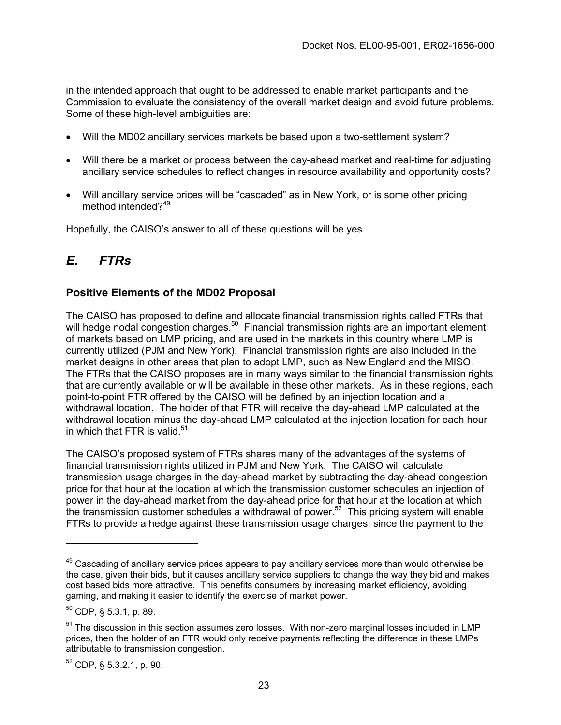in the intended approach that ought to be addressed to enable market participants and the Commission to evaluate the consistency of the overall market design and avoid future problems. Some of these high-level ambiguities are:

- Will the MD02 ancillary services markets be based upon a two-settlement system?
- Will there be a market or process between the day-ahead market and real-time for adjusting ancillary service schedules to reflect changes in resource availability and opportunity costs?
- Will ancillary service prices will be "cascaded" as in New York, or is some other pricing method intended?<sup>[49](#page-22-0)</sup>

Hopefully, the CAISO's answer to all of these questions will be yes.

## *E. FTRs*

### **Positive Elements of the MD02 Proposal**

The CAISO has proposed to define and allocate financial transmission rights called FTRs that will hedge nodal congestion charges.<sup>50</sup> Financial transmission rights are an important element of markets based on LMP pricing, and are used in the markets in this country where LMP is currently utilized (PJM and New York). Financial transmission rights are also included in the market designs in other areas that plan to adopt LMP, such as New England and the MISO. The FTRs that the CAISO proposes are in many ways similar to the financial transmission rights that are currently available or will be available in these other markets. As in these regions, each point-to-point FTR offered by the CAISO will be defined by an injection location and a withdrawal location. The holder of that FTR will receive the day-ahead LMP calculated at the withdrawal location minus the day-ahead LMP calculated at the injection location for each hour in which that FTR is valid. $51$ 

The CAISO's proposed system of FTRs shares many of the advantages of the systems of financial transmission rights utilized in PJM and New York. The CAISO will calculate transmission usage charges in the day-ahead market by subtracting the day-ahead congestion price for that hour at the location at which the transmission customer schedules an injection of power in the day-ahead market from the day-ahead price for that hour at the location at which the transmission customer schedules a withdrawal of power.<sup>52</sup> This pricing system will enable FTRs to provide a hedge against these transmission usage charges, since the payment to the

<span id="page-22-0"></span> $49$  Cascading of ancillary service prices appears to pay ancillary services more than would otherwise be the case, given their bids, but it causes ancillary service suppliers to change the way they bid and makes cost based bids more attractive. This benefits consumers by increasing market efficiency, avoiding gaming, and making it easier to identify the exercise of market power.

<span id="page-22-1"></span> $50$  CDP, § 5.3.1, p. 89.

<span id="page-22-2"></span><sup>&</sup>lt;sup>51</sup> The discussion in this section assumes zero losses. With non-zero marginal losses included in LMP prices, then the holder of an FTR would only receive payments reflecting the difference in these LMPs attributable to transmission congestion.

<span id="page-22-3"></span><sup>52</sup> CDP, § 5.3.2.1, p. 90.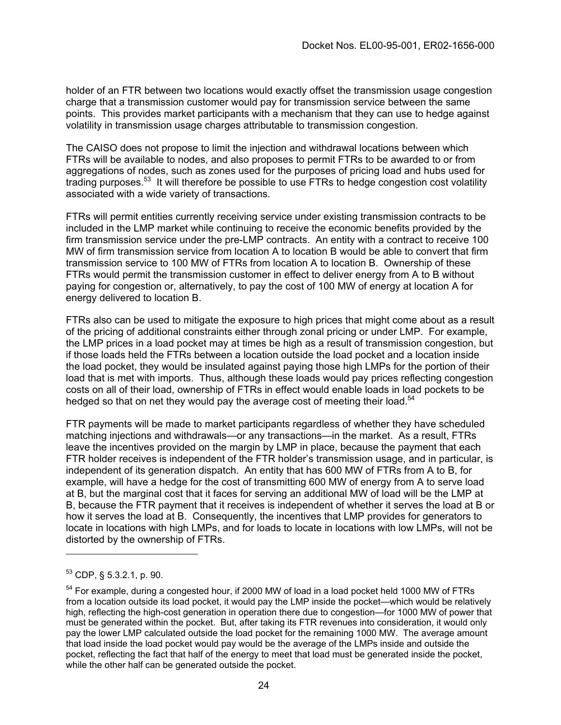holder of an FTR between two locations would exactly offset the transmission usage congestion charge that a transmission customer would pay for transmission service between the same points. This provides market participants with a mechanism that they can use to hedge against volatility in transmission usage charges attributable to transmission congestion.

The CAISO does not propose to limit the injection and withdrawal locations between which FTRs will be available to nodes, and also proposes to permit FTRs to be awarded to or from aggregations of nodes, such as zones used for the purposes of pricing load and hubs used for trading purposes.<sup>53</sup> It will therefore be possible to use FTRs to hedge congestion cost volatility associated with a wide variety of transactions.

FTRs will permit entities currently receiving service under existing transmission contracts to be included in the LMP market while continuing to receive the economic benefits provided by the firm transmission service under the pre-LMP contracts. An entity with a contract to receive 100 MW of firm transmission service from location A to location B would be able to convert that firm transmission service to 100 MW of FTRs from location A to location B. Ownership of these FTRs would permit the transmission customer in effect to deliver energy from A to B without paying for congestion or, alternatively, to pay the cost of 100 MW of energy at location A for energy delivered to location B.

FTRs also can be used to mitigate the exposure to high prices that might come about as a result of the pricing of additional constraints either through zonal pricing or under LMP. For example, the LMP prices in a load pocket may at times be high as a result of transmission congestion, but if those loads held the FTRs between a location outside the load pocket and a location inside the load pocket, they would be insulated against paying those high LMPs for the portion of their load that is met with imports. Thus, although these loads would pay prices reflecting congestion costs on all of their load, ownership of FTRs in effect would enable loads in load pockets to be hedged so that on net they would pay the average cost of meeting their load.<sup>54</sup>

FTR payments will be made to market participants regardless of whether they have scheduled matching injections and withdrawals—or any transactions—in the market. As a result, FTRs leave the incentives provided on the margin by LMP in place, because the payment that each FTR holder receives is independent of the FTR holder's transmission usage, and in particular, is independent of its generation dispatch. An entity that has 600 MW of FTRs from A to B, for example, will have a hedge for the cost of transmitting 600 MW of energy from A to serve load at B, but the marginal cost that it faces for serving an additional MW of load will be the LMP at B, because the FTR payment that it receives is independent of whether it serves the load at B or how it serves the load at B. Consequently, the incentives that LMP provides for generators to locate in locations with high LMPs, and for loads to locate in locations with low LMPs, will not be distorted by the ownership of FTRs.

<span id="page-23-0"></span> $53$  CDP, § 5.3.2.1, p. 90.

<span id="page-23-1"></span> $54$  For example, during a congested hour, if 2000 MW of load in a load pocket held 1000 MW of FTRs from a location outside its load pocket, it would pay the LMP inside the pocket—which would be relatively high, reflecting the high-cost generation in operation there due to congestion—for 1000 MW of power that must be generated within the pocket. But, after taking its FTR revenues into consideration, it would only pay the lower LMP calculated outside the load pocket for the remaining 1000 MW. The average amount that load inside the load pocket would pay would be the average of the LMPs inside and outside the pocket, reflecting the fact that half of the energy to meet that load must be generated inside the pocket, while the other half can be generated outside the pocket.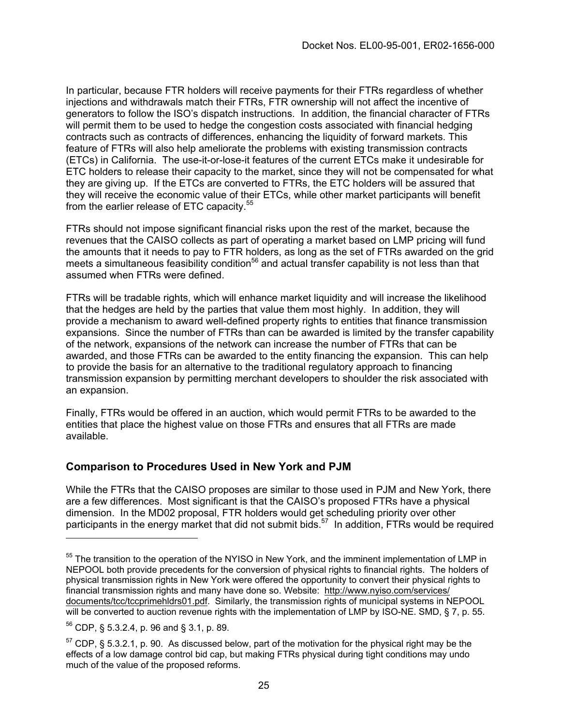In particular, because FTR holders will receive payments for their FTRs regardless of whether injections and withdrawals match their FTRs, FTR ownership will not affect the incentive of generators to follow the ISO's dispatch instructions. In addition, the financial character of FTRs will permit them to be used to hedge the congestion costs associated with financial hedging contracts such as contracts of differences, enhancing the liquidity of forward markets. This feature of FTRs will also help ameliorate the problems with existing transmission contracts (ETCs) in California. The use-it-or-lose-it features of the current ETCs make it undesirable for ETC holders to release their capacity to the market, since they will not be compensated for what they are giving up. If the ETCs are converted to FTRs, the ETC holders will be assured that they will receive the economic value of their ETCs, while other market participants will benefit from the earlier release of ETC capacity.<sup>[55](#page-24-0)</sup>

FTRs should not impose significant financial risks upon the rest of the market, because the revenues that the CAISO collects as part of operating a market based on LMP pricing will fund the amounts that it needs to pay to FTR holders, as long as the set of FTRs awarded on the grid meets a simultaneous feasibility condition<sup>56</sup> and actual transfer capability is not less than that assumed when FTRs were defined.

FTRs will be tradable rights, which will enhance market liquidity and will increase the likelihood that the hedges are held by the parties that value them most highly. In addition, they will provide a mechanism to award well-defined property rights to entities that finance transmission expansions. Since the number of FTRs than can be awarded is limited by the transfer capability of the network, expansions of the network can increase the number of FTRs that can be awarded, and those FTRs can be awarded to the entity financing the expansion. This can help to provide the basis for an alternative to the traditional regulatory approach to financing transmission expansion by permitting merchant developers to shoulder the risk associated with an expansion.

Finally, FTRs would be offered in an auction, which would permit FTRs to be awarded to the entities that place the highest value on those FTRs and ensures that all FTRs are made available.

#### **Comparison to Procedures Used in New York and PJM**

While the FTRs that the CAISO proposes are similar to those used in PJM and New York, there are a few differences. Most significant is that the CAISO's proposed FTRs have a physical dimension. In the MD02 proposal, FTR holders would get scheduling priority over other participants in the energy market that did not submit bids.<sup>57</sup> In addition, FTRs would be required

<span id="page-24-0"></span><sup>&</sup>lt;sup>55</sup> The transition to the operation of the NYISO in New York, and the imminent implementation of LMP in NEPOOL both provide precedents for the conversion of physical rights to financial rights. The holders of physical transmission rights in New York were offered the opportunity to convert their physical rights to financial transmission rights and many have done so. Website: http://www.nyiso.com/services/ documents/tcc/tccprimehldrs01.pdf. Similarly, the transmission rights of municipal systems in NEPOOL will be converted to auction revenue rights with the implementation of LMP by ISO-NE. SMD, § 7, p. 55.

<span id="page-24-1"></span><sup>56</sup> CDP, § 5.3.2.4, p. 96 and § 3.1, p. 89.

<span id="page-24-2"></span> $<sup>57</sup>$  CDP, § 5.3.2.1, p. 90. As discussed below, part of the motivation for the physical right may be the</sup> effects of a low damage control bid cap, but making FTRs physical during tight conditions may undo much of the value of the proposed reforms.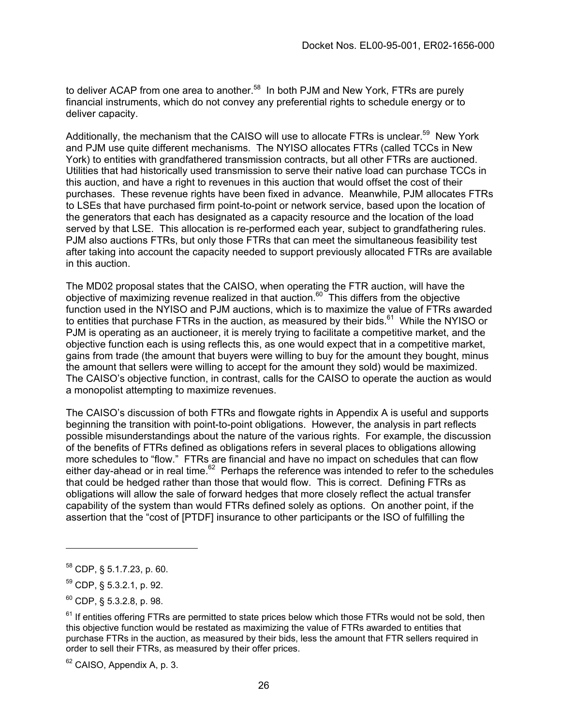to deliver ACAP from one area to another.<sup>58</sup> In both PJM and New York, FTRs are purely financial instruments, which do not convey any preferential rights to schedule energy or to deliver capacity.

Additionally, the mechanism that the CAISO will use to allocate FTRs is unclear.<sup>59</sup> New York and PJM use quite different mechanisms. The NYISO allocates FTRs (called TCCs in New York) to entities with grandfathered transmission contracts, but all other FTRs are auctioned. Utilities that had historically used transmission to serve their native load can purchase TCCs in this auction, and have a right to revenues in this auction that would offset the cost of their purchases. These revenue rights have been fixed in advance. Meanwhile, PJM allocates FTRs to LSEs that have purchased firm point-to-point or network service, based upon the location of the generators that each has designated as a capacity resource and the location of the load served by that LSE. This allocation is re-performed each year, subject to grandfathering rules. PJM also auctions FTRs, but only those FTRs that can meet the simultaneous feasibility test after taking into account the capacity needed to support previously allocated FTRs are available in this auction.

The MD02 proposal states that the CAISO, when operating the FTR auction, will have the objective of maximizing revenue realized in that auction.[60](#page-25-2) This differs from the objective function used in the NYISO and PJM auctions, which is to maximize the value of FTRs awarded to entities that purchase FTRs in the auction, as measured by their bids. $61$  While the NYISO or PJM is operating as an auctioneer, it is merely trying to facilitate a competitive market, and the objective function each is using reflects this, as one would expect that in a competitive market, gains from trade (the amount that buyers were willing to buy for the amount they bought, minus the amount that sellers were willing to accept for the amount they sold) would be maximized. The CAISO's objective function, in contrast, calls for the CAISO to operate the auction as would a monopolist attempting to maximize revenues.

The CAISO's discussion of both FTRs and flowgate rights in Appendix A is useful and supports beginning the transition with point-to-point obligations. However, the analysis in part reflects possible misunderstandings about the nature of the various rights. For example, the discussion of the benefits of FTRs defined as obligations refers in several places to obligations allowing more schedules to "flow." FTRs are financial and have no impact on schedules that can flow either day-ahead or in real time.<sup>62</sup> Perhaps the reference was intended to refer to the schedules that could be hedged rather than those that would flow. This is correct. Defining FTRs as obligations will allow the sale of forward hedges that more closely reflect the actual transfer capability of the system than would FTRs defined solely as options. On another point, if the assertion that the "cost of [PTDF] insurance to other participants or the ISO of fulfilling the

<span id="page-25-4"></span><sup>62</sup> CAISO, Appendix A, p. 3.

<span id="page-25-0"></span><sup>58</sup> CDP, § 5.1.7.23, p. 60.

<span id="page-25-1"></span><sup>59</sup> CDP, § 5.3.2.1, p. 92.

<span id="page-25-2"></span> $60$  CDP,  $\frac{5.3.2.8}{2}$ , p. 98.

<span id="page-25-3"></span> $61$  If entities offering FTRs are permitted to state prices below which those FTRs would not be sold, then this objective function would be restated as maximizing the value of FTRs awarded to entities that purchase FTRs in the auction, as measured by their bids, less the amount that FTR sellers required in order to sell their FTRs, as measured by their offer prices.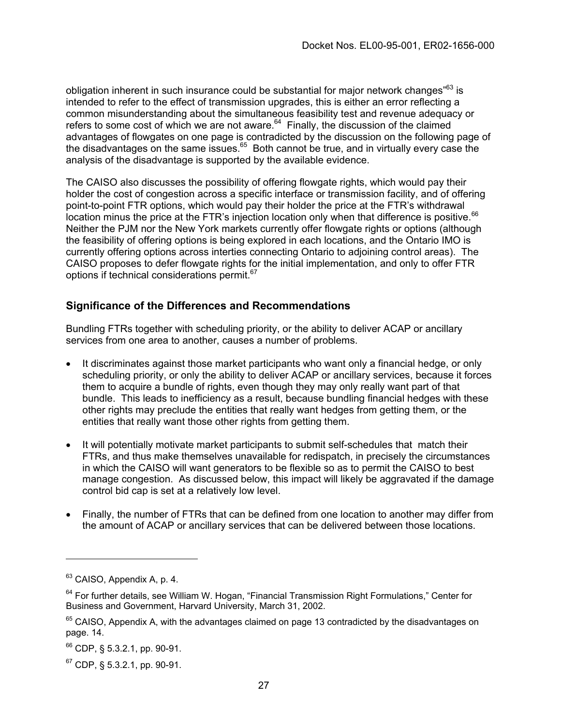obligation inherent in such insurance could be substantial for major network changes<sup>"63</sup> is intended to refer to the effect of transmission upgrades, this is either an error reflecting a common misunderstanding about the simultaneous feasibility test and revenue adequacy or refers to some cost of which we are not aware. $64$  Finally, the discussion of the claimed advantages of flowgates on one page is contradicted by the discussion on the following page of the disadvantages on the same issues. $65$  Both cannot be true, and in virtually every case the analysis of the disadvantage is supported by the available evidence.

The CAISO also discusses the possibility of offering flowgate rights, which would pay their holder the cost of congestion across a specific interface or transmission facility, and of offering point-to-point FTR options, which would pay their holder the price at the FTR's withdrawal location minus the price at the FTR's injection location only when that difference is positive.<sup>[66](#page-26-3)</sup> Neither the PJM nor the New York markets currently offer flowgate rights or options (although the feasibility of offering options is being explored in each locations, and the Ontario IMO is currently offering options across interties connecting Ontario to adjoining control areas). The CAISO proposes to defer flowgate rights for the initial implementation, and only to offer FTR options if technical considerations permit.<sup>[67](#page-26-4)</sup>

### **Significance of the Differences and Recommendations**

Bundling FTRs together with scheduling priority, or the ability to deliver ACAP or ancillary services from one area to another, causes a number of problems.

- It discriminates against those market participants who want only a financial hedge, or only scheduling priority, or only the ability to deliver ACAP or ancillary services, because it forces them to acquire a bundle of rights, even though they may only really want part of that bundle. This leads to inefficiency as a result, because bundling financial hedges with these other rights may preclude the entities that really want hedges from getting them, or the entities that really want those other rights from getting them.
- It will potentially motivate market participants to submit self-schedules that match their FTRs, and thus make themselves unavailable for redispatch, in precisely the circumstances in which the CAISO will want generators to be flexible so as to permit the CAISO to best manage congestion. As discussed below, this impact will likely be aggravated if the damage control bid cap is set at a relatively low level.
- Finally, the number of FTRs that can be defined from one location to another may differ from the amount of ACAP or ancillary services that can be delivered between those locations.

<span id="page-26-0"></span><sup>&</sup>lt;sup>63</sup> CAISO, Appendix A, p. 4.

<span id="page-26-1"></span> $64$  For further details, see William W. Hogan, "Financial Transmission Right Formulations," Center for Business and Government, Harvard University, March 31, 2002.

<span id="page-26-2"></span> $65$  CAISO, Appendix A, with the advantages claimed on page 13 contradicted by the disadvantages on page. 14.

<span id="page-26-3"></span> $66$  CDP, § 5.3.2.1, pp. 90-91.

<span id="page-26-4"></span> $67$  CDP, § 5.3.2.1, pp. 90-91.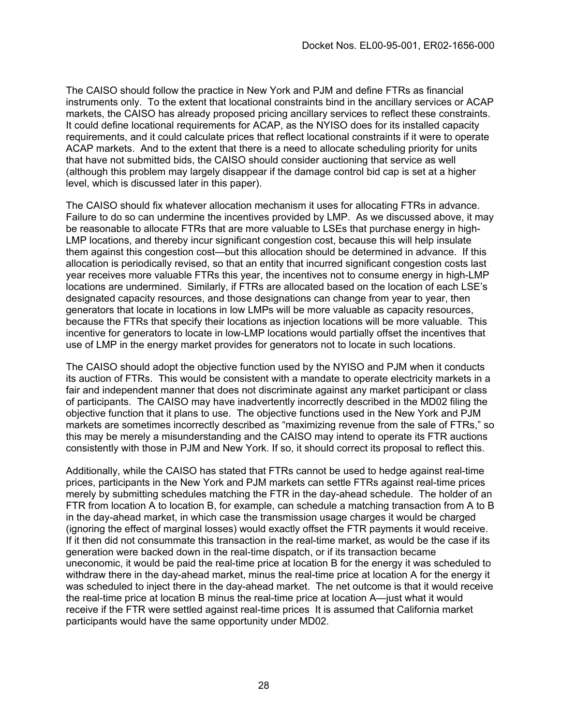The CAISO should follow the practice in New York and PJM and define FTRs as financial instruments only. To the extent that locational constraints bind in the ancillary services or ACAP markets, the CAISO has already proposed pricing ancillary services to reflect these constraints. It could define locational requirements for ACAP, as the NYISO does for its installed capacity requirements, and it could calculate prices that reflect locational constraints if it were to operate ACAP markets. And to the extent that there is a need to allocate scheduling priority for units that have not submitted bids, the CAISO should consider auctioning that service as well (although this problem may largely disappear if the damage control bid cap is set at a higher level, which is discussed later in this paper).

The CAISO should fix whatever allocation mechanism it uses for allocating FTRs in advance. Failure to do so can undermine the incentives provided by LMP. As we discussed above, it may be reasonable to allocate FTRs that are more valuable to LSEs that purchase energy in high-LMP locations, and thereby incur significant congestion cost, because this will help insulate them against this congestion cost—but this allocation should be determined in advance. If this allocation is periodically revised, so that an entity that incurred significant congestion costs last year receives more valuable FTRs this year, the incentives not to consume energy in high-LMP locations are undermined. Similarly, if FTRs are allocated based on the location of each LSE's designated capacity resources, and those designations can change from year to year, then generators that locate in locations in low LMPs will be more valuable as capacity resources, because the FTRs that specify their locations as injection locations will be more valuable. This incentive for generators to locate in low-LMP locations would partially offset the incentives that use of LMP in the energy market provides for generators not to locate in such locations.

The CAISO should adopt the objective function used by the NYISO and PJM when it conducts its auction of FTRs. This would be consistent with a mandate to operate electricity markets in a fair and independent manner that does not discriminate against any market participant or class of participants. The CAISO may have inadvertently incorrectly described in the MD02 filing the objective function that it plans to use. The objective functions used in the New York and PJM markets are sometimes incorrectly described as "maximizing revenue from the sale of FTRs," so this may be merely a misunderstanding and the CAISO may intend to operate its FTR auctions consistently with those in PJM and New York. If so, it should correct its proposal to reflect this.

Additionally, while the CAISO has stated that FTRs cannot be used to hedge against real-time prices, participants in the New York and PJM markets can settle FTRs against real-time prices merely by submitting schedules matching the FTR in the day-ahead schedule. The holder of an FTR from location A to location B, for example, can schedule a matching transaction from A to B in the day-ahead market, in which case the transmission usage charges it would be charged (ignoring the effect of marginal losses) would exactly offset the FTR payments it would receive. If it then did not consummate this transaction in the real-time market, as would be the case if its generation were backed down in the real-time dispatch, or if its transaction became uneconomic, it would be paid the real-time price at location B for the energy it was scheduled to withdraw there in the day-ahead market, minus the real-time price at location A for the energy it was scheduled to inject there in the day-ahead market. The net outcome is that it would receive the real-time price at location B minus the real-time price at location A—just what it would receive if the FTR were settled against real-time prices It is assumed that California market participants would have the same opportunity under MD02.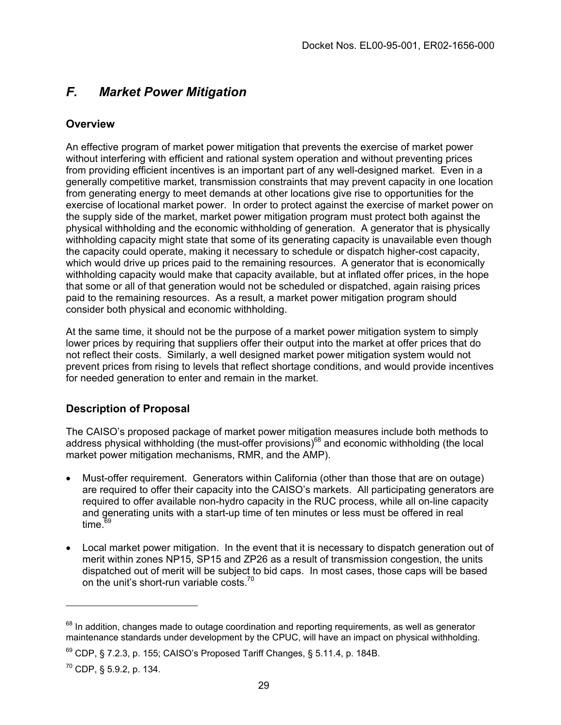## *F. Market Power Mitigation*

### **Overview**

An effective program of market power mitigation that prevents the exercise of market power without interfering with efficient and rational system operation and without preventing prices from providing efficient incentives is an important part of any well-designed market. Even in a generally competitive market, transmission constraints that may prevent capacity in one location from generating energy to meet demands at other locations give rise to opportunities for the exercise of locational market power. In order to protect against the exercise of market power on the supply side of the market, market power mitigation program must protect both against the physical withholding and the economic withholding of generation. A generator that is physically withholding capacity might state that some of its generating capacity is unavailable even though the capacity could operate, making it necessary to schedule or dispatch higher-cost capacity, which would drive up prices paid to the remaining resources. A generator that is economically withholding capacity would make that capacity available, but at inflated offer prices, in the hope that some or all of that generation would not be scheduled or dispatched, again raising prices paid to the remaining resources. As a result, a market power mitigation program should consider both physical and economic withholding.

At the same time, it should not be the purpose of a market power mitigation system to simply lower prices by requiring that suppliers offer their output into the market at offer prices that do not reflect their costs. Similarly, a well designed market power mitigation system would not prevent prices from rising to levels that reflect shortage conditions, and would provide incentives for needed generation to enter and remain in the market.

## **Description of Proposal**

The CAISO's proposed package of market power mitigation measures include both methods to address physical withholding (the must-offer provisions)<sup>68</sup> and economic withholding (the local market power mitigation mechanisms, RMR, and the AMP).

- Must-offer requirement. Generators within California (other than those that are on outage) are required to offer their capacity into the CAISO's markets. All participating generators are required to offer available non-hydro capacity in the RUC process, while all on-line capacity and generating units with a start-up time of ten minutes or less must be offered in real time. $69$
- Local market power mitigation. In the event that it is necessary to dispatch generation out of merit within zones NP15, SP15 and ZP26 as a result of transmission congestion, the units dispatched out of merit will be subject to bid caps. In most cases, those caps will be based on the unit's short-run variable costs. $70$

<span id="page-28-0"></span> $68$  In addition, changes made to outage coordination and reporting requirements, as well as generator maintenance standards under development by the CPUC, will have an impact on physical withholding.

<span id="page-28-1"></span> $69$  CDP, § 7.2.3, p. 155; CAISO's Proposed Tariff Changes, § 5.11.4, p. 184B.

<span id="page-28-2"></span> $^{70}$  CDP, § 5.9.2, p. 134.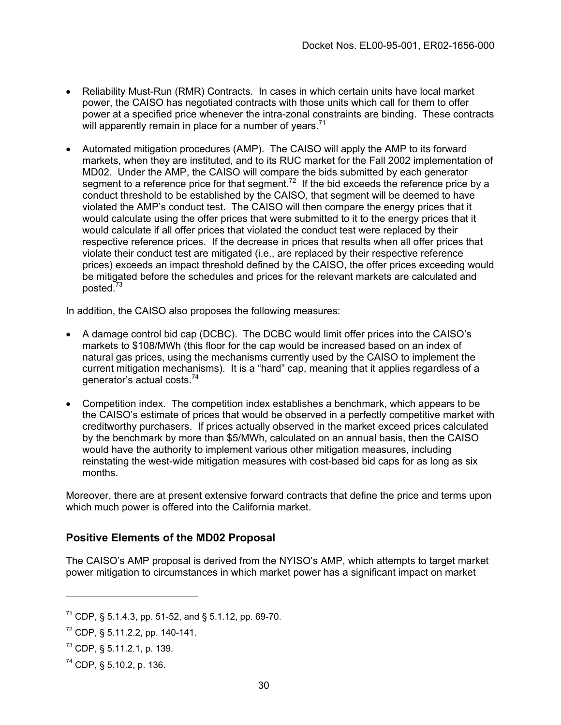- Reliability Must-Run (RMR) Contracts. In cases in which certain units have local market power, the CAISO has negotiated contracts with those units which call for them to offer power at a specified price whenever the intra-zonal constraints are binding. These contracts will apparently remain in place for a number of years. $71$
- Automated mitigation procedures (AMP). The CAISO will apply the AMP to its forward markets, when they are instituted, and to its RUC market for the Fall 2002 implementation of MD02. Under the AMP, the CAISO will compare the bids submitted by each generator segment to a reference price for that segment.<sup>72</sup> If the bid exceeds the reference price by a conduct threshold to be established by the CAISO, that segment will be deemed to have violated the AMP's conduct test. The CAISO will then compare the energy prices that it would calculate using the offer prices that were submitted to it to the energy prices that it would calculate if all offer prices that violated the conduct test were replaced by their respective reference prices. If the decrease in prices that results when all offer prices that violate their conduct test are mitigated (i.e., are replaced by their respective reference prices) exceeds an impact threshold defined by the CAISO, the offer prices exceeding would be mitigated before the schedules and prices for the relevant markets are calculated and posted[.73](#page-29-2)

In addition, the CAISO also proposes the following measures:

- A damage control bid cap (DCBC). The DCBC would limit offer prices into the CAISO's markets to \$108/MWh (this floor for the cap would be increased based on an index of natural gas prices, using the mechanisms currently used by the CAISO to implement the current mitigation mechanisms). It is a "hard" cap, meaning that it applies regardless of a generator's actual costs.[74](#page-29-3)
- Competition index. The competition index establishes a benchmark, which appears to be the CAISO's estimate of prices that would be observed in a perfectly competitive market with creditworthy purchasers. If prices actually observed in the market exceed prices calculated by the benchmark by more than \$5/MWh, calculated on an annual basis, then the CAISO would have the authority to implement various other mitigation measures, including reinstating the west-wide mitigation measures with cost-based bid caps for as long as six months.

Moreover, there are at present extensive forward contracts that define the price and terms upon which much power is offered into the California market.

## **Positive Elements of the MD02 Proposal**

The CAISO's AMP proposal is derived from the NYISO's AMP, which attempts to target market power mitigation to circumstances in which market power has a significant impact on market

<span id="page-29-0"></span><sup>&</sup>lt;sup>71</sup> CDP, § 5.1.4.3, pp. 51-52, and § 5.1.12, pp. 69-70.

<span id="page-29-1"></span> $72$  CDP, § 5.11.2.2, pp. 140-141.

<span id="page-29-2"></span> $^{73}$  CDP, § 5.11.2.1, p. 139.

<span id="page-29-3"></span><sup>74</sup> CDP, § 5.10.2, p. 136.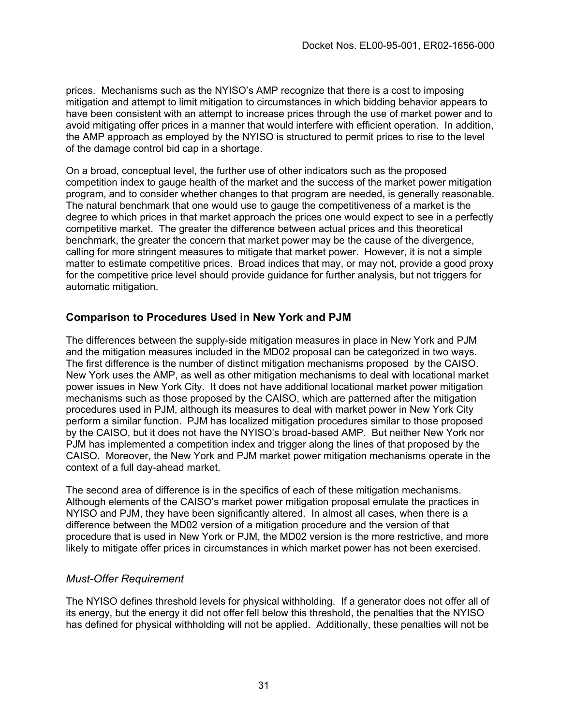prices. Mechanisms such as the NYISO's AMP recognize that there is a cost to imposing mitigation and attempt to limit mitigation to circumstances in which bidding behavior appears to have been consistent with an attempt to increase prices through the use of market power and to avoid mitigating offer prices in a manner that would interfere with efficient operation. In addition, the AMP approach as employed by the NYISO is structured to permit prices to rise to the level of the damage control bid cap in a shortage.

On a broad, conceptual level, the further use of other indicators such as the proposed competition index to gauge health of the market and the success of the market power mitigation program, and to consider whether changes to that program are needed, is generally reasonable. The natural benchmark that one would use to gauge the competitiveness of a market is the degree to which prices in that market approach the prices one would expect to see in a perfectly competitive market. The greater the difference between actual prices and this theoretical benchmark, the greater the concern that market power may be the cause of the divergence, calling for more stringent measures to mitigate that market power. However, it is not a simple matter to estimate competitive prices. Broad indices that may, or may not, provide a good proxy for the competitive price level should provide guidance for further analysis, but not triggers for automatic mitigation.

### **Comparison to Procedures Used in New York and PJM**

The differences between the supply-side mitigation measures in place in New York and PJM and the mitigation measures included in the MD02 proposal can be categorized in two ways. The first difference is the number of distinct mitigation mechanisms proposed by the CAISO. New York uses the AMP, as well as other mitigation mechanisms to deal with locational market power issues in New York City. It does not have additional locational market power mitigation mechanisms such as those proposed by the CAISO, which are patterned after the mitigation procedures used in PJM, although its measures to deal with market power in New York City perform a similar function. PJM has localized mitigation procedures similar to those proposed by the CAISO, but it does not have the NYISO's broad-based AMP. But neither New York nor PJM has implemented a competition index and trigger along the lines of that proposed by the CAISO. Moreover, the New York and PJM market power mitigation mechanisms operate in the context of a full day-ahead market.

The second area of difference is in the specifics of each of these mitigation mechanisms. Although elements of the CAISO's market power mitigation proposal emulate the practices in NYISO and PJM, they have been significantly altered. In almost all cases, when there is a difference between the MD02 version of a mitigation procedure and the version of that procedure that is used in New York or PJM, the MD02 version is the more restrictive, and more likely to mitigate offer prices in circumstances in which market power has not been exercised.

#### *Must-Offer Requirement*

The NYISO defines threshold levels for physical withholding. If a generator does not offer all of its energy, but the energy it did not offer fell below this threshold, the penalties that the NYISO has defined for physical withholding will not be applied. Additionally, these penalties will not be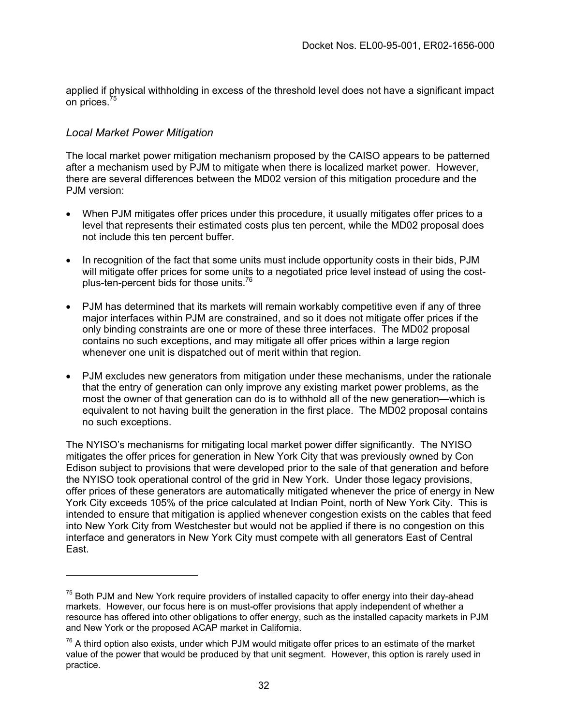applied if physical withholding in excess of the threshold level does not have a significant impact on prices.<sup>75</sup>

#### *Local Market Power Mitigation*

The local market power mitigation mechanism proposed by the CAISO appears to be patterned after a mechanism used by PJM to mitigate when there is localized market power. However, there are several differences between the MD02 version of this mitigation procedure and the P.IM version:

- When PJM mitigates offer prices under this procedure, it usually mitigates offer prices to a level that represents their estimated costs plus ten percent, while the MD02 proposal does not include this ten percent buffer.
- In recognition of the fact that some units must include opportunity costs in their bids, PJM will mitigate offer prices for some units to a negotiated price level instead of using the costplus-ten-percent bids for those units.[76](#page-31-1)
- PJM has determined that its markets will remain workably competitive even if any of three major interfaces within PJM are constrained, and so it does not mitigate offer prices if the only binding constraints are one or more of these three interfaces. The MD02 proposal contains no such exceptions, and may mitigate all offer prices within a large region whenever one unit is dispatched out of merit within that region.
- PJM excludes new generators from mitigation under these mechanisms, under the rationale that the entry of generation can only improve any existing market power problems, as the most the owner of that generation can do is to withhold all of the new generation—which is equivalent to not having built the generation in the first place. The MD02 proposal contains no such exceptions.

The NYISO's mechanisms for mitigating local market power differ significantly. The NYISO mitigates the offer prices for generation in New York City that was previously owned by Con Edison subject to provisions that were developed prior to the sale of that generation and before the NYISO took operational control of the grid in New York. Under those legacy provisions, offer prices of these generators are automatically mitigated whenever the price of energy in New York City exceeds 105% of the price calculated at Indian Point, north of New York City. This is intended to ensure that mitigation is applied whenever congestion exists on the cables that feed into New York City from Westchester but would not be applied if there is no congestion on this interface and generators in New York City must compete with all generators East of Central East.

<span id="page-31-0"></span> $75$  Both PJM and New York require providers of installed capacity to offer energy into their day-ahead markets. However, our focus here is on must-offer provisions that apply independent of whether a resource has offered into other obligations to offer energy, such as the installed capacity markets in PJM and New York or the proposed ACAP market in California.

<span id="page-31-1"></span> $76$  A third option also exists, under which PJM would mitigate offer prices to an estimate of the market value of the power that would be produced by that unit segment. However, this option is rarely used in practice.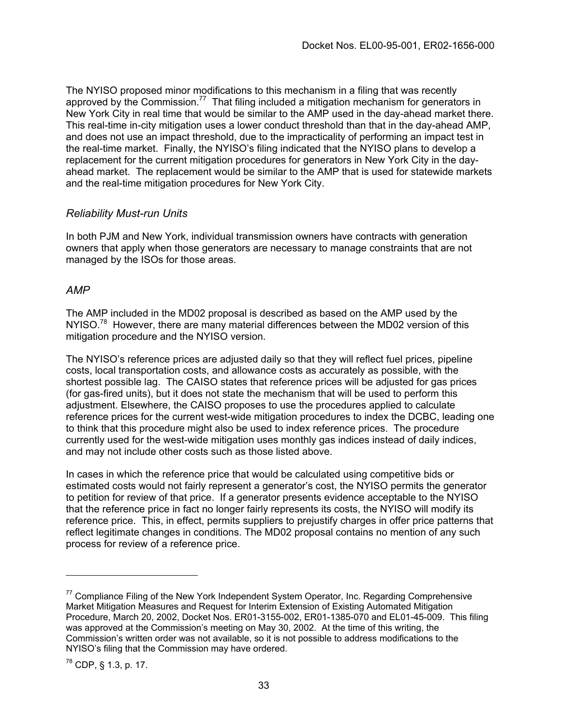The NYISO proposed minor modifications to this mechanism in a filing that was recently approved by the Commission.<sup>77</sup> That filing included a mitigation mechanism for generators in New York City in real time that would be similar to the AMP used in the day-ahead market there. This real-time in-city mitigation uses a lower conduct threshold than that in the day-ahead AMP, and does not use an impact threshold, due to the impracticality of performing an impact test in the real-time market. Finally, the NYISO's filing indicated that the NYISO plans to develop a replacement for the current mitigation procedures for generators in New York City in the dayahead market. The replacement would be similar to the AMP that is used for statewide markets and the real-time mitigation procedures for New York City.

#### *Reliability Must-run Units*

In both PJM and New York, individual transmission owners have contracts with generation owners that apply when those generators are necessary to manage constraints that are not managed by the ISOs for those areas.

#### *AMP*

The AMP included in the MD02 proposal is described as based on the AMP used by the NYISO.<sup>78</sup> However, there are many material differences between the MD02 version of this mitigation procedure and the NYISO version.

The NYISO's reference prices are adjusted daily so that they will reflect fuel prices, pipeline costs, local transportation costs, and allowance costs as accurately as possible, with the shortest possible lag. The CAISO states that reference prices will be adjusted for gas prices (for gas-fired units), but it does not state the mechanism that will be used to perform this adjustment. Elsewhere, the CAISO proposes to use the procedures applied to calculate reference prices for the current west-wide mitigation procedures to index the DCBC, leading one to think that this procedure might also be used to index reference prices. The procedure currently used for the west-wide mitigation uses monthly gas indices instead of daily indices, and may not include other costs such as those listed above.

In cases in which the reference price that would be calculated using competitive bids or estimated costs would not fairly represent a generator's cost, the NYISO permits the generator to petition for review of that price. If a generator presents evidence acceptable to the NYISO that the reference price in fact no longer fairly represents its costs, the NYISO will modify its reference price. This, in effect, permits suppliers to prejustify charges in offer price patterns that reflect legitimate changes in conditions. The MD02 proposal contains no mention of any such process for review of a reference price.

<span id="page-32-0"></span> $77$  Compliance Filing of the New York Independent System Operator, Inc. Regarding Comprehensive Market Mitigation Measures and Request for Interim Extension of Existing Automated Mitigation Procedure, March 20, 2002, Docket Nos. ER01-3155-002, ER01-1385-070 and EL01-45-009. This filing was approved at the Commission's meeting on May 30, 2002. At the time of this writing, the Commission's written order was not available, so it is not possible to address modifications to the NYISO's filing that the Commission may have ordered.

<span id="page-32-1"></span><sup>78</sup> CDP, § 1.3, p. 17.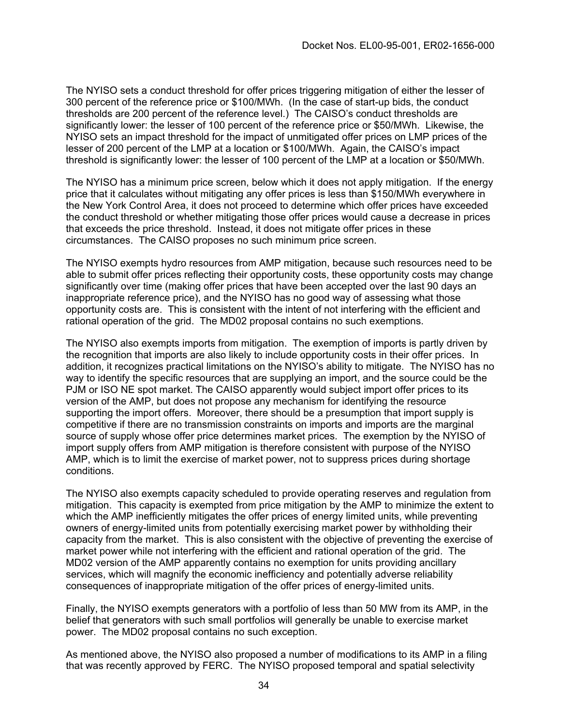The NYISO sets a conduct threshold for offer prices triggering mitigation of either the lesser of 300 percent of the reference price or \$100/MWh. (In the case of start-up bids, the conduct thresholds are 200 percent of the reference level.) The CAISO's conduct thresholds are significantly lower: the lesser of 100 percent of the reference price or \$50/MWh. Likewise, the NYISO sets an impact threshold for the impact of unmitigated offer prices on LMP prices of the lesser of 200 percent of the LMP at a location or \$100/MWh. Again, the CAISO's impact threshold is significantly lower: the lesser of 100 percent of the LMP at a location or \$50/MWh.

The NYISO has a minimum price screen, below which it does not apply mitigation. If the energy price that it calculates without mitigating any offer prices is less than \$150/MWh everywhere in the New York Control Area, it does not proceed to determine which offer prices have exceeded the conduct threshold or whether mitigating those offer prices would cause a decrease in prices that exceeds the price threshold. Instead, it does not mitigate offer prices in these circumstances. The CAISO proposes no such minimum price screen.

The NYISO exempts hydro resources from AMP mitigation, because such resources need to be able to submit offer prices reflecting their opportunity costs, these opportunity costs may change significantly over time (making offer prices that have been accepted over the last 90 days an inappropriate reference price), and the NYISO has no good way of assessing what those opportunity costs are. This is consistent with the intent of not interfering with the efficient and rational operation of the grid. The MD02 proposal contains no such exemptions.

The NYISO also exempts imports from mitigation. The exemption of imports is partly driven by the recognition that imports are also likely to include opportunity costs in their offer prices. In addition, it recognizes practical limitations on the NYISO's ability to mitigate. The NYISO has no way to identify the specific resources that are supplying an import, and the source could be the PJM or ISO NE spot market. The CAISO apparently would subject import offer prices to its version of the AMP, but does not propose any mechanism for identifying the resource supporting the import offers. Moreover, there should be a presumption that import supply is competitive if there are no transmission constraints on imports and imports are the marginal source of supply whose offer price determines market prices. The exemption by the NYISO of import supply offers from AMP mitigation is therefore consistent with purpose of the NYISO AMP, which is to limit the exercise of market power, not to suppress prices during shortage conditions.

The NYISO also exempts capacity scheduled to provide operating reserves and regulation from mitigation. This capacity is exempted from price mitigation by the AMP to minimize the extent to which the AMP inefficiently mitigates the offer prices of energy limited units, while preventing owners of energy-limited units from potentially exercising market power by withholding their capacity from the market. This is also consistent with the objective of preventing the exercise of market power while not interfering with the efficient and rational operation of the grid. The MD02 version of the AMP apparently contains no exemption for units providing ancillary services, which will magnify the economic inefficiency and potentially adverse reliability consequences of inappropriate mitigation of the offer prices of energy-limited units.

Finally, the NYISO exempts generators with a portfolio of less than 50 MW from its AMP, in the belief that generators with such small portfolios will generally be unable to exercise market power. The MD02 proposal contains no such exception.

As mentioned above, the NYISO also proposed a number of modifications to its AMP in a filing that was recently approved by FERC. The NYISO proposed temporal and spatial selectivity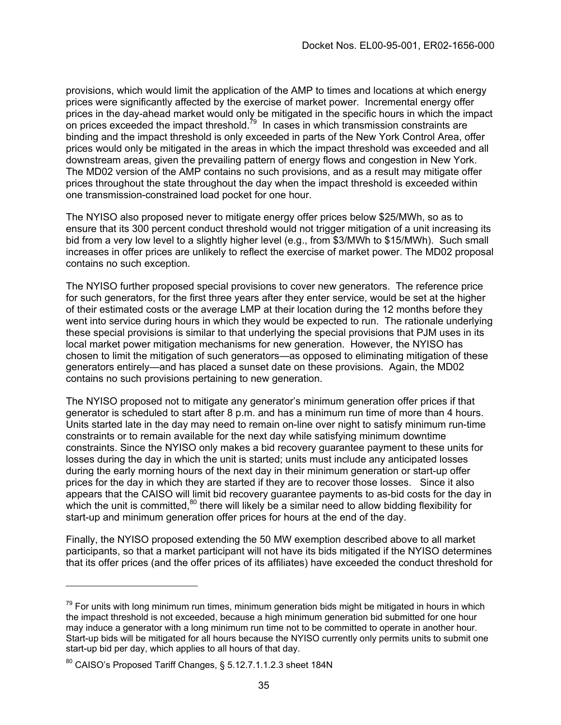provisions, which would limit the application of the AMP to times and locations at which energy prices were significantly affected by the exercise of market power. Incremental energy offer prices in the day-ahead market would only be mitigated in the specific hours in which the impact on prices exceeded the impact threshold. $^{79}$  In cases in which transmission constraints are binding and the impact threshold is only exceeded in parts of the New York Control Area, offer prices would only be mitigated in the areas in which the impact threshold was exceeded and all downstream areas, given the prevailing pattern of energy flows and congestion in New York. The MD02 version of the AMP contains no such provisions, and as a result may mitigate offer prices throughout the state throughout the day when the impact threshold is exceeded within one transmission-constrained load pocket for one hour.

The NYISO also proposed never to mitigate energy offer prices below \$25/MWh, so as to ensure that its 300 percent conduct threshold would not trigger mitigation of a unit increasing its bid from a very low level to a slightly higher level (e.g., from \$3/MWh to \$15/MWh). Such small increases in offer prices are unlikely to reflect the exercise of market power. The MD02 proposal contains no such exception.

The NYISO further proposed special provisions to cover new generators. The reference price for such generators, for the first three years after they enter service, would be set at the higher of their estimated costs or the average LMP at their location during the 12 months before they went into service during hours in which they would be expected to run. The rationale underlying these special provisions is similar to that underlying the special provisions that PJM uses in its local market power mitigation mechanisms for new generation. However, the NYISO has chosen to limit the mitigation of such generators—as opposed to eliminating mitigation of these generators entirely—and has placed a sunset date on these provisions. Again, the MD02 contains no such provisions pertaining to new generation.

The NYISO proposed not to mitigate any generator's minimum generation offer prices if that generator is scheduled to start after 8 p.m. and has a minimum run time of more than 4 hours. Units started late in the day may need to remain on-line over night to satisfy minimum run-time constraints or to remain available for the next day while satisfying minimum downtime constraints. Since the NYISO only makes a bid recovery guarantee payment to these units for losses during the day in which the unit is started; units must include any anticipated losses during the early morning hours of the next day in their minimum generation or start-up offer prices for the day in which they are started if they are to recover those losses. Since it also appears that the CAISO will limit bid recovery guarantee payments to as-bid costs for the day in which the unit is committed, $80$  there will likely be a similar need to allow bidding flexibility for start-up and minimum generation offer prices for hours at the end of the day.

Finally, the NYISO proposed extending the 50 MW exemption described above to all market participants, so that a market participant will not have its bids mitigated if the NYISO determines that its offer prices (and the offer prices of its affiliates) have exceeded the conduct threshold for

<span id="page-34-0"></span><sup>&</sup>lt;sup>79</sup> For units with long minimum run times, minimum generation bids might be mitigated in hours in which the impact threshold is not exceeded, because a high minimum generation bid submitted for one hour may induce a generator with a long minimum run time not to be committed to operate in another hour. Start-up bids will be mitigated for all hours because the NYISO currently only permits units to submit one start-up bid per day, which applies to all hours of that day.

<span id="page-34-1"></span><sup>80</sup> CAISO's Proposed Tariff Changes, § 5.12.7.1.1.2.3 sheet 184N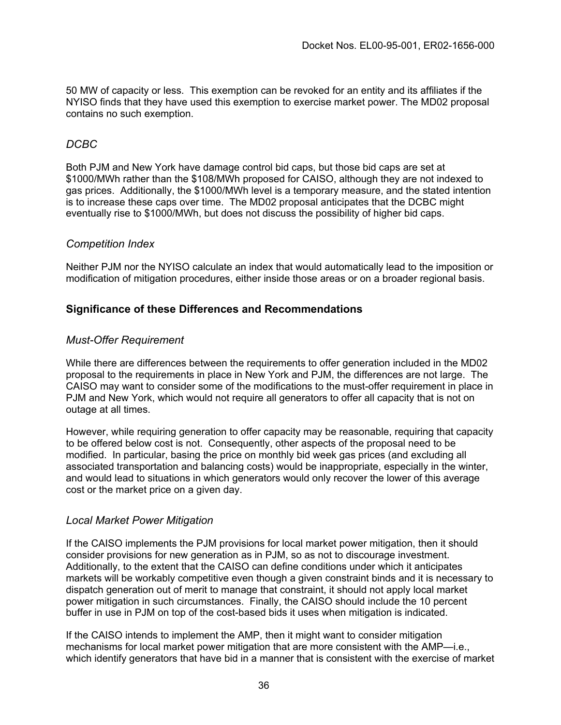50 MW of capacity or less. This exemption can be revoked for an entity and its affiliates if the NYISO finds that they have used this exemption to exercise market power. The MD02 proposal contains no such exemption.

### *DCBC*

Both PJM and New York have damage control bid caps, but those bid caps are set at \$1000/MWh rather than the \$108/MWh proposed for CAISO, although they are not indexed to gas prices.Additionally, the \$1000/MWh level is a temporary measure, and the stated intention is to increase these caps over time. The MD02 proposal anticipates that the DCBC might eventually rise to \$1000/MWh, but does not discuss the possibility of higher bid caps.

#### *Competition Index*

Neither PJM nor the NYISO calculate an index that would automatically lead to the imposition or modification of mitigation procedures, either inside those areas or on a broader regional basis.

### **Significance of these Differences and Recommendations**

#### *Must-Offer Requirement*

While there are differences between the requirements to offer generation included in the MD02 proposal to the requirements in place in New York and PJM, the differences are not large. The CAISO may want to consider some of the modifications to the must-offer requirement in place in PJM and New York, which would not require all generators to offer all capacity that is not on outage at all times.

However, while requiring generation to offer capacity may be reasonable, requiring that capacity to be offered below cost is not. Consequently, other aspects of the proposal need to be modified. In particular, basing the price on monthly bid week gas prices (and excluding all associated transportation and balancing costs) would be inappropriate, especially in the winter, and would lead to situations in which generators would only recover the lower of this average cost or the market price on a given day.

#### *Local Market Power Mitigation*

If the CAISO implements the PJM provisions for local market power mitigation, then it should consider provisions for new generation as in PJM, so as not to discourage investment. Additionally, to the extent that the CAISO can define conditions under which it anticipates markets will be workably competitive even though a given constraint binds and it is necessary to dispatch generation out of merit to manage that constraint, it should not apply local market power mitigation in such circumstances. Finally, the CAISO should include the 10 percent buffer in use in PJM on top of the cost-based bids it uses when mitigation is indicated.

If the CAISO intends to implement the AMP, then it might want to consider mitigation mechanisms for local market power mitigation that are more consistent with the AMP—i.e., which identify generators that have bid in a manner that is consistent with the exercise of market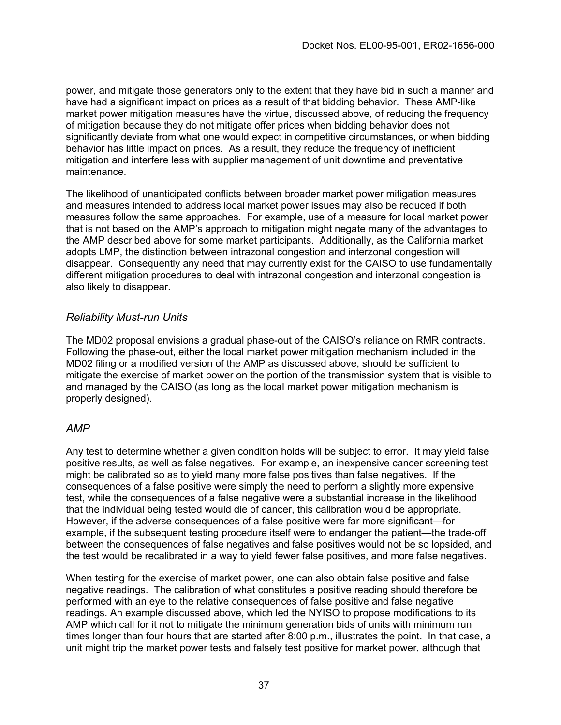power, and mitigate those generators only to the extent that they have bid in such a manner and have had a significant impact on prices as a result of that bidding behavior. These AMP-like market power mitigation measures have the virtue, discussed above, of reducing the frequency of mitigation because they do not mitigate offer prices when bidding behavior does not significantly deviate from what one would expect in competitive circumstances, or when bidding behavior has little impact on prices. As a result, they reduce the frequency of inefficient mitigation and interfere less with supplier management of unit downtime and preventative maintenance.

The likelihood of unanticipated conflicts between broader market power mitigation measures and measures intended to address local market power issues may also be reduced if both measures follow the same approaches. For example, use of a measure for local market power that is not based on the AMP's approach to mitigation might negate many of the advantages to the AMP described above for some market participants. Additionally, as the California market adopts LMP, the distinction between intrazonal congestion and interzonal congestion will disappear. Consequently any need that may currently exist for the CAISO to use fundamentally different mitigation procedures to deal with intrazonal congestion and interzonal congestion is also likely to disappear.

#### *Reliability Must-run Units*

The MD02 proposal envisions a gradual phase-out of the CAISO's reliance on RMR contracts. Following the phase-out, either the local market power mitigation mechanism included in the MD02 filing or a modified version of the AMP as discussed above, should be sufficient to mitigate the exercise of market power on the portion of the transmission system that is visible to and managed by the CAISO (as long as the local market power mitigation mechanism is properly designed).

#### *AMP*

Any test to determine whether a given condition holds will be subject to error. It may yield false positive results, as well as false negatives. For example, an inexpensive cancer screening test might be calibrated so as to yield many more false positives than false negatives. If the consequences of a false positive were simply the need to perform a slightly more expensive test, while the consequences of a false negative were a substantial increase in the likelihood that the individual being tested would die of cancer, this calibration would be appropriate. However, if the adverse consequences of a false positive were far more significant—for example, if the subsequent testing procedure itself were to endanger the patient—the trade-off between the consequences of false negatives and false positives would not be so lopsided, and the test would be recalibrated in a way to yield fewer false positives, and more false negatives.

When testing for the exercise of market power, one can also obtain false positive and false negative readings. The calibration of what constitutes a positive reading should therefore be performed with an eye to the relative consequences of false positive and false negative readings. An example discussed above, which led the NYISO to propose modifications to its AMP which call for it not to mitigate the minimum generation bids of units with minimum run times longer than four hours that are started after 8:00 p.m., illustrates the point. In that case, a unit might trip the market power tests and falsely test positive for market power, although that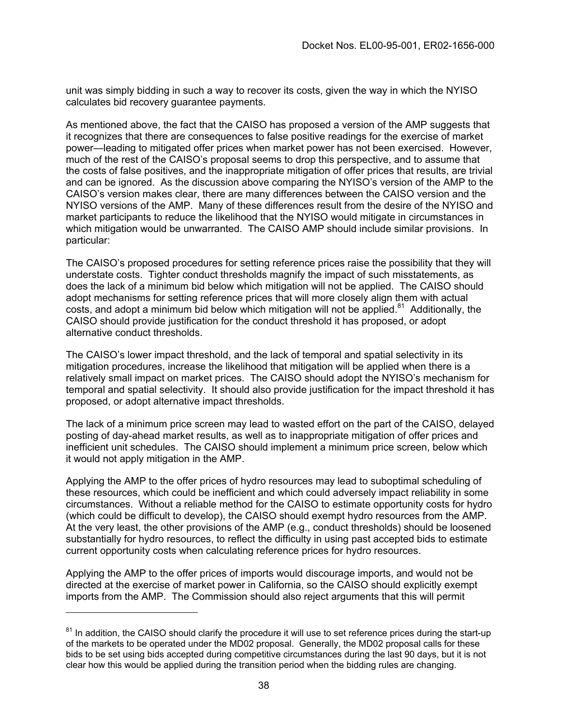unit was simply bidding in such a way to recover its costs, given the way in which the NYISO calculates bid recovery guarantee payments.

As mentioned above, the fact that the CAISO has proposed a version of the AMP suggests that it recognizes that there are consequences to false positive readings for the exercise of market power—leading to mitigated offer prices when market power has not been exercised. However, much of the rest of the CAISO's proposal seems to drop this perspective, and to assume that the costs of false positives, and the inappropriate mitigation of offer prices that results, are trivial and can be ignored. As the discussion above comparing the NYISO's version of the AMP to the CAISO's version makes clear, there are many differences between the CAISO version and the NYISO versions of the AMP. Many of these differences result from the desire of the NYISO and market participants to reduce the likelihood that the NYISO would mitigate in circumstances in which mitigation would be unwarranted. The CAISO AMP should include similar provisions. In particular:

The CAISO's proposed procedures for setting reference prices raise the possibility that they will understate costs. Tighter conduct thresholds magnify the impact of such misstatements, as does the lack of a minimum bid below which mitigation will not be applied. The CAISO should adopt mechanisms for setting reference prices that will more closely align them with actual costs, and adopt a minimum bid below which mitigation will not be applied. $81$  Additionally, the CAISO should provide justification for the conduct threshold it has proposed, or adopt alternative conduct thresholds.

The CAISO's lower impact threshold, and the lack of temporal and spatial selectivity in its mitigation procedures, increase the likelihood that mitigation will be applied when there is a relatively small impact on market prices. The CAISO should adopt the NYISO's mechanism for temporal and spatial selectivity. It should also provide justification for the impact threshold it has proposed, or adopt alternative impact thresholds.

The lack of a minimum price screen may lead to wasted effort on the part of the CAISO, delayed posting of day-ahead market results, as well as to inappropriate mitigation of offer prices and inefficient unit schedules. The CAISO should implement a minimum price screen, below which it would not apply mitigation in the AMP.

Applying the AMP to the offer prices of hydro resources may lead to suboptimal scheduling of these resources, which could be inefficient and which could adversely impact reliability in some circumstances. Without a reliable method for the CAISO to estimate opportunity costs for hydro (which could be difficult to develop), the CAISO should exempt hydro resources from the AMP. At the very least, the other provisions of the AMP (e.g., conduct thresholds) should be loosened substantially for hydro resources, to reflect the difficulty in using past accepted bids to estimate current opportunity costs when calculating reference prices for hydro resources.

Applying the AMP to the offer prices of imports would discourage imports, and would not be directed at the exercise of market power in California, so the CAISO should explicitly exempt imports from the AMP. The Commission should also reject arguments that this will permit

<span id="page-37-0"></span><sup>&</sup>lt;sup>81</sup> In addition, the CAISO should clarify the procedure it will use to set reference prices during the start-up of the markets to be operated under the MD02 proposal. Generally, the MD02 proposal calls for these bids to be set using bids accepted during competitive circumstances during the last 90 days, but it is not clear how this would be applied during the transition period when the bidding rules are changing.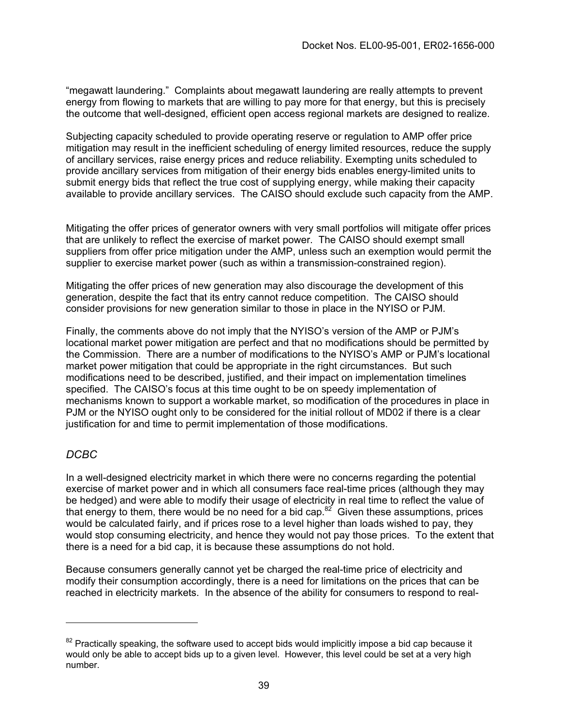"megawatt laundering." Complaints about megawatt laundering are really attempts to prevent energy from flowing to markets that are willing to pay more for that energy, but this is precisely the outcome that well-designed, efficient open access regional markets are designed to realize.

Subjecting capacity scheduled to provide operating reserve or regulation to AMP offer price mitigation may result in the inefficient scheduling of energy limited resources, reduce the supply of ancillary services, raise energy prices and reduce reliability. Exempting units scheduled to provide ancillary services from mitigation of their energy bids enables energy-limited units to submit energy bids that reflect the true cost of supplying energy, while making their capacity available to provide ancillary services. The CAISO should exclude such capacity from the AMP.

Mitigating the offer prices of generator owners with very small portfolios will mitigate offer prices that are unlikely to reflect the exercise of market power. The CAISO should exempt small suppliers from offer price mitigation under the AMP, unless such an exemption would permit the supplier to exercise market power (such as within a transmission-constrained region).

Mitigating the offer prices of new generation may also discourage the development of this generation, despite the fact that its entry cannot reduce competition. The CAISO should consider provisions for new generation similar to those in place in the NYISO or PJM.

Finally, the comments above do not imply that the NYISO's version of the AMP or PJM's locational market power mitigation are perfect and that no modifications should be permitted by the Commission. There are a number of modifications to the NYISO's AMP or PJM's locational market power mitigation that could be appropriate in the right circumstances. But such modifications need to be described, justified, and their impact on implementation timelines specified. The CAISO's focus at this time ought to be on speedy implementation of mechanisms known to support a workable market, so modification of the procedures in place in PJM or the NYISO ought only to be considered for the initial rollout of MD02 if there is a clear justification for and time to permit implementation of those modifications.

## *DCBC*

In a well-designed electricity market in which there were no concerns regarding the potential exercise of market power and in which all consumers face real-time prices (although they may be hedged) and were able to modify their usage of electri[city](#page-38-0) in real time to reflect the value of that energy to them, there would be no need for a bid cap. $82^{2}$  Given these assumptions, prices would be calculated fairly, and if prices rose to a level higher than loads wished to pay, they would stop consuming electricity, and hence they would not pay those prices. To the extent that there is a need for a bid cap, it is because these assumptions do not hold.

Because consumers generally cannot yet be charged the real-time price of electricity and modify their consumption accordingly, there is a need for limitations on the prices that can be reached in electricity markets. In the absence of the ability for consumers to respond to real-

<span id="page-38-0"></span> $82$  Practically speaking, the software used to accept bids would implicitly impose a bid cap because it would only be able to accept bids up to a given level. However, this level could be set at a very high number.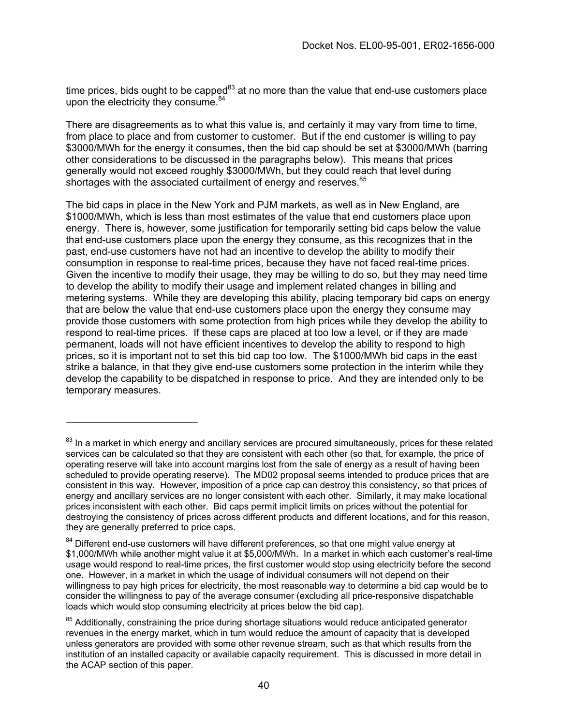time prices, bids ought to be capped $^{83}$  at no more than the value that end-use customers place upon the electricity they consume. $84$ 

There are disagreements as to what this value is, and certainly it may vary from time to time, from place to place and from customer to customer. But if the end customer is willing to pay \$3000/MWh for the energy it consumes, then the bid cap should be set at \$3000/MWh (barring other considerations to be discussed in the paragraphs below). This means that prices generally would not exceed roughly \$3000/MWh, but they could reach that level during shortages with the associated curtailment of energy and reserves.<sup>[85](#page-39-2)</sup>

The bid caps in place in the New York and PJM markets, as well as in New England, are \$1000/MWh, which is less than most estimates of the value that end customers place upon energy. There is, however, some justification for temporarily setting bid caps below the value that end-use customers place upon the energy they consume, as this recognizes that in the past, end-use customers have not had an incentive to develop the ability to modify their consumption in response to real-time prices, because they have not faced real-time prices. Given the incentive to modify their usage, they may be willing to do so, but they may need time to develop the ability to modify their usage and implement related changes in billing and metering systems. While they are developing this ability, placing temporary bid caps on energy that are below the value that end-use customers place upon the energy they consume may provide those customers with some protection from high prices while they develop the ability to respond to real-time prices. If these caps are placed at too low a level, or if they are made permanent, loads will not have efficient incentives to develop the ability to respond to high prices, so it is important not to set this bid cap too low. The \$1000/MWh bid caps in the east strike a balance, in that they give end-use customers some protection in the interim while they develop the capability to be dispatched in response to price. And they are intended only to be temporary measures.

 $\overline{a}$ 

<span id="page-39-0"></span> $83$  In a market in which energy and ancillary services are procured simultaneously, prices for these related services can be calculated so that they are consistent with each other (so that, for example, the price of operating reserve will take into account margins lost from the sale of energy as a result of having been scheduled to provide operating reserve). The MD02 proposal seems intended to produce prices that are consistent in this way. However, imposition of a price cap can destroy this consistency, so that prices of energy and ancillary services are no longer consistent with each other. Similarly, it may make locational prices inconsistent with each other. Bid caps permit implicit limits on prices without the potential for destroying the consistency of prices across different products and different locations, and for this reason, they are generally preferred to price caps.

<span id="page-39-1"></span> $84$  Different end-use customers will have different preferences, so that one might value energy at \$1,000/MWh while another might value it at \$5,000/MWh. In a market in which each customer's real-time usage would respond to real-time prices, the first customer would stop using electricity before the second one. However, in a market in which the usage of individual consumers will not depend on their willingness to pay high prices for electricity, the most reasonable way to determine a bid cap would be to consider the willingness to pay of the average consumer (excluding all price-responsive dispatchable loads which would stop consuming electricity at prices below the bid cap).

<span id="page-39-2"></span><sup>&</sup>lt;sup>85</sup> Additionally, constraining the price during shortage situations would reduce anticipated generator revenues in the energy market, which in turn would reduce the amount of capacity that is developed unless generators are provided with some other revenue stream, such as that which results from the institution of an installed capacity or available capacity requirement. This is discussed in more detail in the ACAP section of this paper.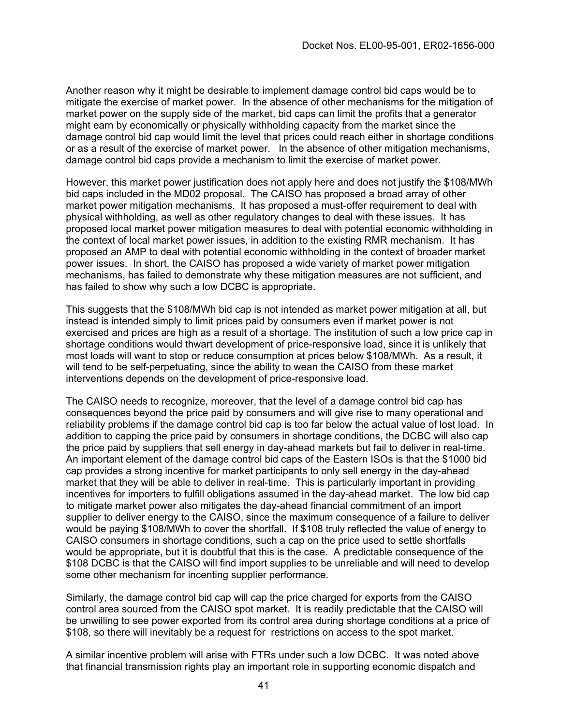Another reason why it might be desirable to implement damage control bid caps would be to mitigate the exercise of market power. In the absence of other mechanisms for the mitigation of market power on the supply side of the market, bid caps can limit the profits that a generator might earn by economically or physically withholding capacity from the market since the damage control bid cap would limit the level that prices could reach either in shortage conditions or as a result of the exercise of market power. In the absence of other mitigation mechanisms, damage control bid caps provide a mechanism to limit the exercise of market power.

However, this market power justification does not apply here and does not justify the \$108/MWh bid caps included in the MD02 proposal. The CAISO has proposed a broad array of other market power mitigation mechanisms. It has proposed a must-offer requirement to deal with physical withholding, as well as other regulatory changes to deal with these issues. It has proposed local market power mitigation measures to deal with potential economic withholding in the context of local market power issues, in addition to the existing RMR mechanism. It has proposed an AMP to deal with potential economic withholding in the context of broader market power issues. In short, the CAISO has proposed a wide variety of market power mitigation mechanisms, has failed to demonstrate why these mitigation measures are not sufficient, and has failed to show why such a low DCBC is appropriate.

This suggests that the \$108/MWh bid cap is not intended as market power mitigation at all, but instead is intended simply to limit prices paid by consumers even if market power is not exercised and prices are high as a result of a shortage. The institution of such a low price cap in shortage conditions would thwart development of price-responsive load, since it is unlikely that most loads will want to stop or reduce consumption at prices below \$108/MWh. As a result, it will tend to be self-perpetuating, since the ability to wean the CAISO from these market interventions depends on the development of price-responsive load.

The CAISO needs to recognize, moreover, that the level of a damage control bid cap has consequences beyond the price paid by consumers and will give rise to many operational and reliability problems if the damage control bid cap is too far below the actual value of lost load. In addition to capping the price paid by consumers in shortage conditions, the DCBC will also cap the price paid by suppliers that sell energy in day-ahead markets but fail to deliver in real-time. An important element of the damage control bid caps of the Eastern ISOs is that the \$1000 bid cap provides a strong incentive for market participants to only sell energy in the day-ahead market that they will be able to deliver in real-time. This is particularly important in providing incentives for importers to fulfill obligations assumed in the day-ahead market. The low bid cap to mitigate market power also mitigates the day-ahead financial commitment of an import supplier to deliver energy to the CAISO, since the maximum consequence of a failure to deliver would be paying \$108/MWh to cover the shortfall. If \$108 truly reflected the value of energy to CAISO consumers in shortage conditions, such a cap on the price used to settle shortfalls would be appropriate, but it is doubtful that this is the case. A predictable consequence of the \$108 DCBC is that the CAISO will find import supplies to be unreliable and will need to develop some other mechanism for incenting supplier performance.

Similarly, the damage control bid cap will cap the price charged for exports from the CAISO control area sourced from the CAISO spot market. It is readily predictable that the CAISO will be unwilling to see power exported from its control area during shortage conditions at a price of \$108, so there will inevitably be a request for restrictions on access to the spot market.

A similar incentive problem will arise with FTRs under such a low DCBC. It was noted above that financial transmission rights play an important role in supporting economic dispatch and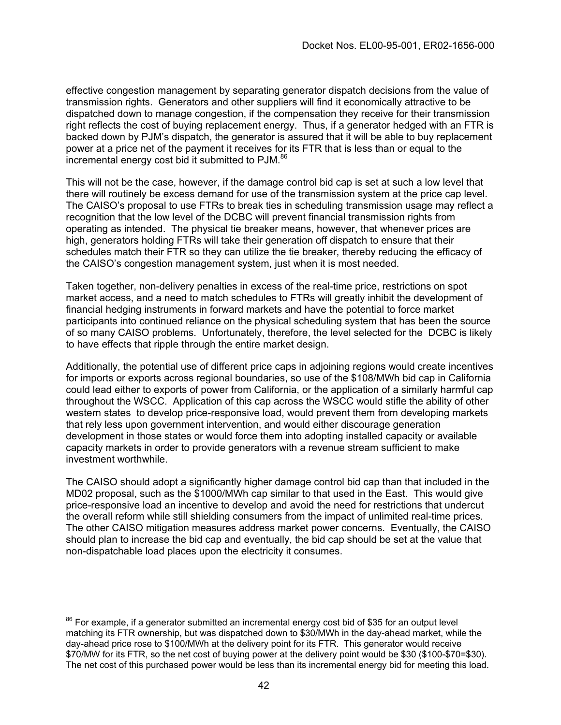effective congestion management by separating generator dispatch decisions from the value of transmission rights. Generators and other suppliers will find it economically attractive to be dispatched down to manage congestion, if the compensation they receive for their transmission right reflects the cost of buying replacement energy. Thus, if a generator hedged with an FTR is backed down by PJM's dispatch, the generator is assured that it will be able to buy replacement power at a price net of the payment it receives for its FTR that is less than or equal to the incremental energy cost bid it submitted to PJM.<sup>86</sup>

This will not be the case, however, if the damage control bid cap is set at such a low level that there will routinely be excess demand for use of the transmission system at the price cap level. The CAISO's proposal to use FTRs to break ties in scheduling transmission usage may reflect a recognition that the low level of the DCBC will prevent financial transmission rights from operating as intended. The physical tie breaker means, however, that whenever prices are high, generators holding FTRs will take their generation off dispatch to ensure that their schedules match their FTR so they can utilize the tie breaker, thereby reducing the efficacy of the CAISO's congestion management system, just when it is most needed.

Taken together, non-delivery penalties in excess of the real-time price, restrictions on spot market access, and a need to match schedules to FTRs will greatly inhibit the development of financial hedging instruments in forward markets and have the potential to force market participants into continued reliance on the physical scheduling system that has been the source of so many CAISO problems. Unfortunately, therefore, the level selected for the DCBC is likely to have effects that ripple through the entire market design.

Additionally, the potential use of different price caps in adjoining regions would create incentives for imports or exports across regional boundaries, so use of the \$108/MWh bid cap in California could lead either to exports of power from California, or the application of a similarly harmful cap throughout the WSCC. Application of this cap across the WSCC would stifle the ability of other western states to develop price-responsive load, would prevent them from developing markets that rely less upon government intervention, and would either discourage generation development in those states or would force them into adopting installed capacity or available capacity markets in order to provide generators with a revenue stream sufficient to make investment worthwhile.

The CAISO should adopt a significantly higher damage control bid cap than that included in the MD02 proposal, such as the \$1000/MWh cap similar to that used in the East. This would give price-responsive load an incentive to develop and avoid the need for restrictions that undercut the overall reform while still shielding consumers from the impact of unlimited real-time prices. The other CAISO mitigation measures address market power concerns. Eventually, the CAISO should plan to increase the bid cap and eventually, the bid cap should be set at the value that non-dispatchable load places upon the electricity it consumes.

<span id="page-41-0"></span> $86$  For example, if a generator submitted an incremental energy cost bid of \$35 for an output level matching its FTR ownership, but was dispatched down to \$30/MWh in the day-ahead market, while the day-ahead price rose to \$100/MWh at the delivery point for its FTR. This generator would receive \$70/MW for its FTR, so the net cost of buying power at the delivery point would be \$30 (\$100-\$70=\$30). The net cost of this purchased power would be less than its incremental energy bid for meeting this load.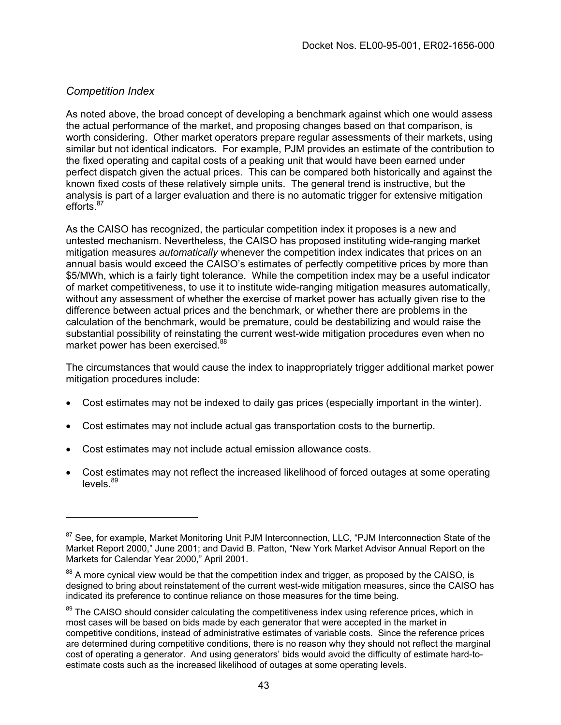## *Competition Index*

As noted above, the broad concept of developing a benchmark against which one would assess the actual performance of the market, and proposing changes based on that comparison, is worth considering. Other market operators prepare regular assessments of their markets, using similar but not identical indicators. For example, PJM provides an estimate of the contribution to the fixed operating and capital costs of a peaking unit that would have been earned under perfect dispatch given the actual prices. This can be compared both historically and against the known fixed costs of these relatively simple units. The general trend is instructive, but the analysis is part of a larger evaluation and there is no automatic trigger for extensive mitigation efforts.<sup>87</sup>

As the CAISO has recognized, the particular competition index it proposes is a new and untested mechanism. Nevertheless, the CAISO has proposed instituting wide-ranging market mitigation measures *automatically* whenever the competition index indicates that prices on an annual basis would exceed the CAISO's estimates of perfectly competitive prices by more than \$5/MWh, which is a fairly tight tolerance. While the competition index may be a useful indicator of market competitiveness, to use it to institute wide-ranging mitigation measures automatically, without any assessment of whether the exercise of market power has actually given rise to the difference between actual prices and the benchmark, or whether there are problems in the calculation of the benchmark, would be premature, could be destabilizing and would raise the substantial possibility of reinstating the current west-wide mitigation procedures even when no market power has been exercised.<sup>88</sup>

The circumstances that would cause the index to inappropriately trigger additional market power mitigation procedures include:

- Cost estimates may not be indexed to daily gas prices (especially important in the winter).
- Cost estimates may not include actual gas transportation costs to the burnertip.
- Cost estimates may not include actual emission allowance costs.
- Cost estimates may not reflect the increased likelihood of forced outages at some operating  $levels<sup>89</sup>$  $levels<sup>89</sup>$  $levels<sup>89</sup>$

<span id="page-42-0"></span><sup>&</sup>lt;sup>87</sup> See, for example, Market Monitoring Unit PJM Interconnection, LLC, "PJM Interconnection State of the Market Report 2000," June 2001; and David B. Patton, "New York Market Advisor Annual Report on the Markets for Calendar Year 2000," April 2001.

<span id="page-42-1"></span><sup>&</sup>lt;sup>88</sup> A more cynical view would be that the competition index and trigger, as proposed by the CAISO, is designed to bring about reinstatement of the current west-wide mitigation measures, since the CAISO has indicated its preference to continue reliance on those measures for the time being.

<span id="page-42-2"></span><sup>&</sup>lt;sup>89</sup> The CAISO should consider calculating the competitiveness index using reference prices, which in most cases will be based on bids made by each generator that were accepted in the market in competitive conditions, instead of administrative estimates of variable costs. Since the reference prices are determined during competitive conditions, there is no reason why they should not reflect the marginal cost of operating a generator. And using generators' bids would avoid the difficulty of estimate hard-toestimate costs such as the increased likelihood of outages at some operating levels.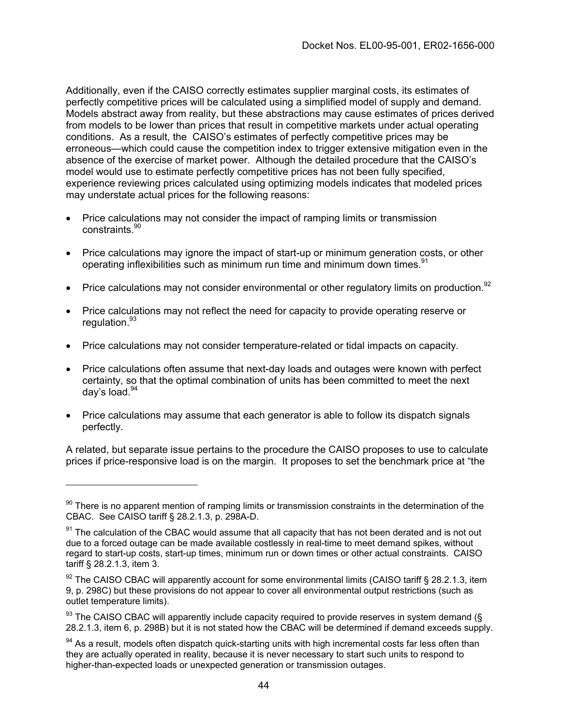Additionally, even if the CAISO correctly estimates supplier marginal costs, its estimates of perfectly competitive prices will be calculated using a simplified model of supply and demand. Models abstract away from reality, but these abstractions may cause estimates of prices derived from models to be lower than prices that result in competitive markets under actual operating conditions. As a result, the CAISO's estimates of perfectly competitive prices may be erroneous—which could cause the competition index to trigger extensive mitigation even in the absence of the exercise of market power. Although the detailed procedure that the CAISO's model would use to estimate perfectly competitive prices has not been fully specified, experience reviewing prices calculated using optimizing models indicates that modeled prices may understate actual prices for the following reasons:

- Price calculations may not consider the impact of ramping limits or transmission constraints<sup>[90](#page-43-0)</sup>
- Price calculations may ignore the impact of start-up or minimum generation costs, or other operating inflexibilities such as minimum run time and minimum down times.<sup>[91](#page-43-1)</sup>
- Price calculations may not consider environmental or other regulatory limits on production.<sup>[92](#page-43-2)</sup>
- Price calculations may not reflect the need for capacity to provide operating reserve or regulation.<sup>93</sup>
- Price calculations may not consider temperature-related or tidal impacts on capacity.
- Price calculations often assume that next-day loads and outages were known with perfect certainty, so that the optimal combination of units has been committed to meet the next day's load.[94](#page-43-4)
- Price calculations may assume that each generator is able to follow its dispatch signals perfectly.

A related, but separate issue pertains to the procedure the CAISO proposes to use to calculate prices if price-responsive load is on the margin. It proposes to set the benchmark price at "the

<span id="page-43-0"></span><sup>&</sup>lt;sup>90</sup> There is no apparent mention of ramping limits or transmission constraints in the determination of the CBAC. See CAISO tariff § 28.2.1.3, p. 298A-D.

<span id="page-43-1"></span><sup>&</sup>lt;sup>91</sup> The calculation of the CBAC would assume that all capacity that has not been derated and is not out due to a forced outage can be made available costlessly in real-time to meet demand spikes, without regard to start-up costs, start-up times, minimum run or down times or other actual constraints. CAISO tariff § 28.2.1.3, item 3.

<span id="page-43-2"></span> $92$  The CAISO CBAC will apparently account for some environmental limits (CAISO tariff § 28.2.1.3, item 9, p. 298C) but these provisions do not appear to cover all environmental output restrictions (such as outlet temperature limits).

<span id="page-43-3"></span> $93$  The CAISO CBAC will apparently include capacity required to provide reserves in system demand ( $\S$ 28.2.1.3, item 6, p. 298B) but it is not stated how the CBAC will be determined if demand exceeds supply.

<span id="page-43-4"></span><sup>&</sup>lt;sup>94</sup> As a result, models often dispatch quick-starting units with high incremental costs far less often than they are actually operated in reality, because it is never necessary to start such units to respond to higher-than-expected loads or unexpected generation or transmission outages.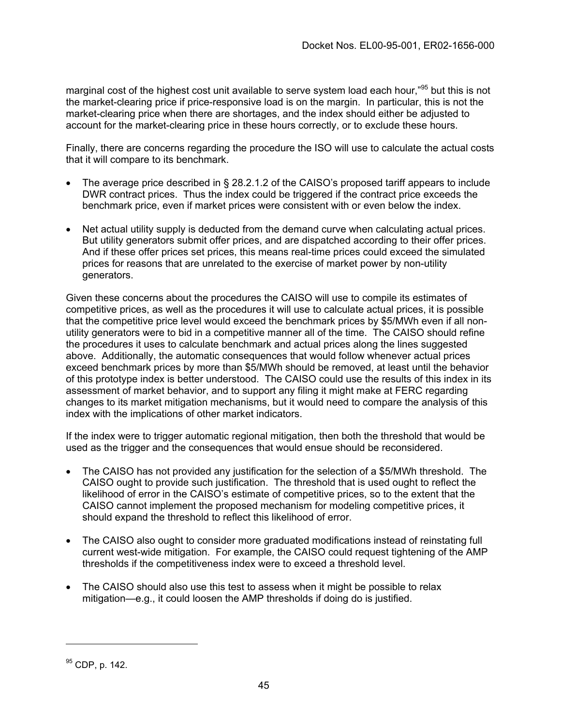marginal cost of the highest cost unit available to serve system load each hour,"<sup>95</sup> but this is not the market-clearing price if price-responsive load is on the margin. In particular, this is not the market-clearing price when there are shortages, and the index should either be adjusted to account for the market-clearing price in these hours correctly, or to exclude these hours.

Finally, there are concerns regarding the procedure the ISO will use to calculate the actual costs that it will compare to its benchmark.

- The average price described in § 28.2.1.2 of the CAISO's proposed tariff appears to include DWR contract prices. Thus the index could be triggered if the contract price exceeds the benchmark price, even if market prices were consistent with or even below the index.
- Net actual utility supply is deducted from the demand curve when calculating actual prices. But utility generators submit offer prices, and are dispatched according to their offer prices. And if these offer prices set prices, this means real-time prices could exceed the simulated prices for reasons that are unrelated to the exercise of market power by non-utility generators.

Given these concerns about the procedures the CAISO will use to compile its estimates of competitive prices, as well as the procedures it will use to calculate actual prices, it is possible that the competitive price level would exceed the benchmark prices by \$5/MWh even if all nonutility generators were to bid in a competitive manner all of the time. The CAISO should refine the procedures it uses to calculate benchmark and actual prices along the lines suggested above. Additionally, the automatic consequences that would follow whenever actual prices exceed benchmark prices by more than \$5/MWh should be removed, at least until the behavior of this prototype index is better understood. The CAISO could use the results of this index in its assessment of market behavior, and to support any filing it might make at FERC regarding changes to its market mitigation mechanisms, but it would need to compare the analysis of this index with the implications of other market indicators.

If the index were to trigger automatic regional mitigation, then both the threshold that would be used as the trigger and the consequences that would ensue should be reconsidered.

- The CAISO has not provided any justification for the selection of a \$5/MWh threshold. The CAISO ought to provide such justification. The threshold that is used ought to reflect the likelihood of error in the CAISO's estimate of competitive prices, so to the extent that the CAISO cannot implement the proposed mechanism for modeling competitive prices, it should expand the threshold to reflect this likelihood of error.
- The CAISO also ought to consider more graduated modifications instead of reinstating full current west-wide mitigation. For example, the CAISO could request tightening of the AMP thresholds if the competitiveness index were to exceed a threshold level.
- The CAISO should also use this test to assess when it might be possible to relax mitigation—e.g., it could loosen the AMP thresholds if doing do is justified.

<span id="page-44-0"></span><sup>95</sup> CDP, p. 142.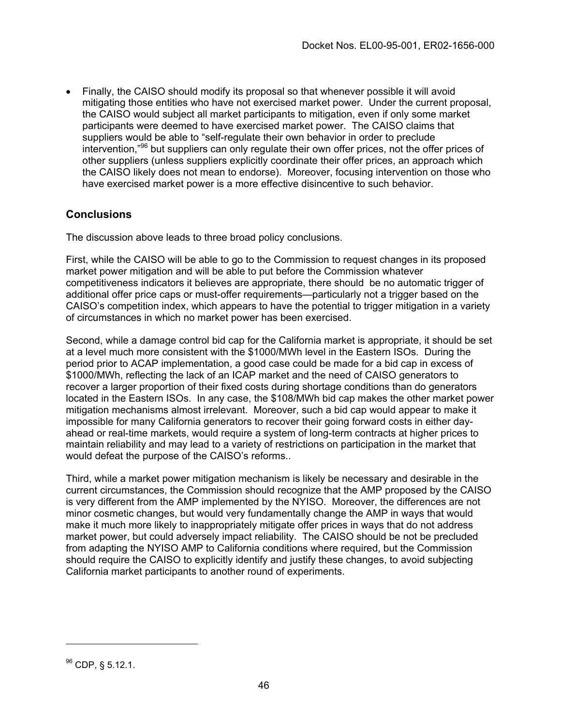• Finally, the CAISO should modify its proposal so that whenever possible it will avoid mitigating those entities who have not exercised market power. Under the current proposal, the CAISO would subject all market participants to mitigation, even if only some market participants were deemed to have exercised market power. The CAISO claims that suppliers would be able to "self-regulate their own behavior in order to preclude intervention,"[96](#page-45-0) but suppliers can only regulate their own offer prices, not the offer prices of other suppliers (unless suppliers explicitly coordinate their offer prices, an approach which the CAISO likely does not mean to endorse). Moreover, focusing intervention on those who have exercised market power is a more effective disincentive to such behavior.

### **Conclusions**

The discussion above leads to three broad policy conclusions.

First, while the CAISO will be able to go to the Commission to request changes in its proposed market power mitigation and will be able to put before the Commission whatever competitiveness indicators it believes are appropriate, there should be no automatic trigger of additional offer price caps or must-offer requirements—particularly not a trigger based on the CAISO's competition index, which appears to have the potential to trigger mitigation in a variety of circumstances in which no market power has been exercised.

Second, while a damage control bid cap for the California market is appropriate, it should be set at a level much more consistent with the \$1000/MWh level in the Eastern ISOs. During the period prior to ACAP implementation, a good case could be made for a bid cap in excess of \$1000/MWh, reflecting the lack of an ICAP market and the need of CAISO generators to recover a larger proportion of their fixed costs during shortage conditions than do generators located in the Eastern ISOs. In any case, the \$108/MWh bid cap makes the other market power mitigation mechanisms almost irrelevant. Moreover, such a bid cap would appear to make it impossible for many California generators to recover their going forward costs in either dayahead or real-time markets, would require a system of long-term contracts at higher prices to maintain reliability and may lead to a variety of restrictions on participation in the market that would defeat the purpose of the CAISO's reforms..

Third, while a market power mitigation mechanism is likely be necessary and desirable in the current circumstances, the Commission should recognize that the AMP proposed by the CAISO is very different from the AMP implemented by the NYISO. Moreover, the differences are not minor cosmetic changes, but would very fundamentally change the AMP in ways that would make it much more likely to inappropriately mitigate offer prices in ways that do not address market power, but could adversely impact reliability. The CAISO should be not be precluded from adapting the NYISO AMP to California conditions where required, but the Commission should require the CAISO to explicitly identify and justify these changes, to avoid subjecting California market participants to another round of experiments.

<span id="page-45-0"></span> $96$  CDP, § 5.12.1.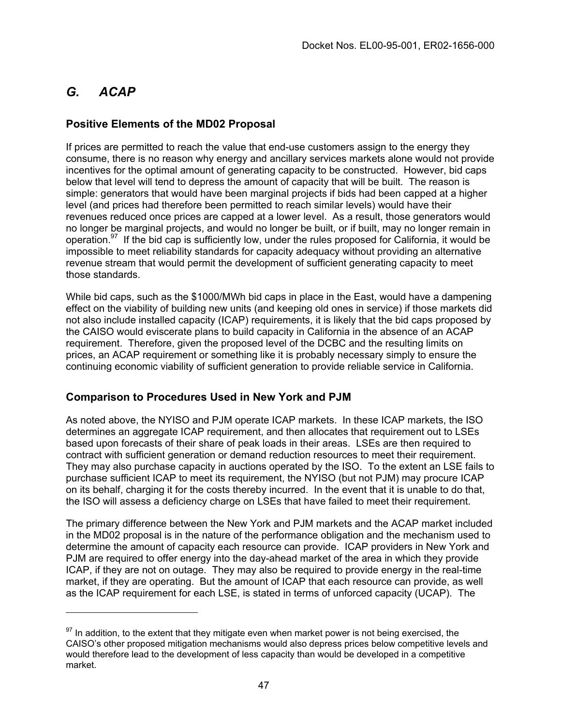## *G. ACAP*

## **Positive Elements of the MD02 Proposal**

If prices are permitted to reach the value that end-use customers assign to the energy they consume, there is no reason why energy and ancillary services markets alone would not provide incentives for the optimal amount of generating capacity to be constructed. However, bid caps below that level will tend to depress the amount of capacity that will be built. The reason is simple: generators that would have been marginal projects if bids had been capped at a higher level (and prices had therefore been permitted to reach similar levels) would have their revenues reduced once prices are capped at a lower level. As a result, those generators would no longer be marginal projects, and would no longer be built, or if built, may no longer remain in operation.<sup>97</sup> If the bid cap is sufficiently low, under the rules proposed for California, it would be impossible to meet reliability standards for capacity adequacy without providing an alternative revenue stream that would permit the development of sufficient generating capacity to meet those standards.

While bid caps, such as the \$1000/MWh bid caps in place in the East, would have a dampening effect on the viability of building new units (and keeping old ones in service) if those markets did not also include installed capacity (ICAP) requirements, it is likely that the bid caps proposed by the CAISO would eviscerate plans to build capacity in California in the absence of an ACAP requirement. Therefore, given the proposed level of the DCBC and the resulting limits on prices, an ACAP requirement or something like it is probably necessary simply to ensure the continuing economic viability of sufficient generation to provide reliable service in California.

## **Comparison to Procedures Used in New York and PJM**

As noted above, the NYISO and PJM operate ICAP markets. In these ICAP markets, the ISO determines an aggregate ICAP requirement, and then allocates that requirement out to LSEs based upon forecasts of their share of peak loads in their areas. LSEs are then required to contract with sufficient generation or demand reduction resources to meet their requirement. They may also purchase capacity in auctions operated by the ISO. To the extent an LSE fails to purchase sufficient ICAP to meet its requirement, the NYISO (but not PJM) may procure ICAP on its behalf, charging it for the costs thereby incurred. In the event that it is unable to do that, the ISO will assess a deficiency charge on LSEs that have failed to meet their requirement.

The primary difference between the New York and PJM markets and the ACAP market included in the MD02 proposal is in the nature of the performance obligation and the mechanism used to determine the amount of capacity each resource can provide. ICAP providers in New York and PJM are required to offer energy into the day-ahead market of the area in which they provide ICAP, if they are not on outage. They may also be required to provide energy in the real-time market, if they are operating. But the amount of ICAP that each resource can provide, as well as the ICAP requirement for each LSE, is stated in terms of unforced capacity (UCAP). The

<span id="page-46-0"></span> $97$  In addition, to the extent that they mitigate even when market power is not being exercised, the CAISO's other proposed mitigation mechanisms would also depress prices below competitive levels and would therefore lead to the development of less capacity than would be developed in a competitive market.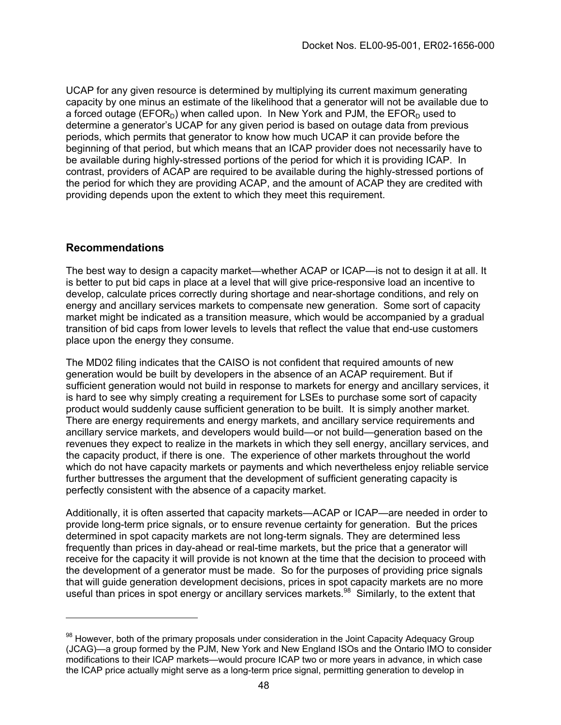UCAP for any given resource is determined by multiplying its current maximum generating capacity by one minus an estimate of the likelihood that a generator will not be available due to a forced outage (EFOR<sub>D</sub>) when called upon. In New York and PJM, the EFOR<sub>D</sub> used to determine a generator's UCAP for any given period is based on outage data from previous periods, which permits that generator to know how much UCAP it can provide before the beginning of that period, but which means that an ICAP provider does not necessarily have to be available during highly-stressed portions of the period for which it is providing ICAP. In contrast, providers of ACAP are required to be available during the highly-stressed portions of the period for which they are providing ACAP, and the amount of ACAP they are credited with providing depends upon the extent to which they meet this requirement.

### **Recommendations**

The best way to design a capacity market—whether ACAP or ICAP—is not to design it at all. It is better to put bid caps in place at a level that will give price-responsive load an incentive to develop, calculate prices correctly during shortage and near-shortage conditions, and rely on energy and ancillary services markets to compensate new generation. Some sort of capacity market might be indicated as a transition measure, which would be accompanied by a gradual transition of bid caps from lower levels to levels that reflect the value that end-use customers place upon the energy they consume.

The MD02 filing indicates that the CAISO is not confident that required amounts of new generation would be built by developers in the absence of an ACAP requirement. But if sufficient generation would not build in response to markets for energy and ancillary services, it is hard to see why simply creating a requirement for LSEs to purchase some sort of capacity product would suddenly cause sufficient generation to be built. It is simply another market. There are energy requirements and energy markets, and ancillary service requirements and ancillary service markets, and developers would build—or not build—generation based on the revenues they expect to realize in the markets in which they sell energy, ancillary services, and the capacity product, if there is one. The experience of other markets throughout the world which do not have capacity markets or payments and which nevertheless enjoy reliable service further buttresses the argument that the development of sufficient generating capacity is perfectly consistent with the absence of a capacity market.

Additionally, it is often asserted that capacity markets—ACAP or ICAP—are needed in order to provide long-term price signals, or to ensure revenue certainty for generation. But the prices determined in spot capacity markets are not long-term signals. They are determined less frequently than prices in day-ahead or real-time markets, but the price that a generator will receive for the capacity it will provide is not known at the time that the decision to proceed with the development of a generator must be made. So for the purposes of providing price signals that will guide generation development decisions, prices in spot capacity markets are no more useful than prices in spot energy or ancillary services markets.<sup>98</sup> Similarly, to the extent that

<span id="page-47-0"></span><sup>&</sup>lt;sup>98</sup> However, both of the primary proposals under consideration in the Joint Capacity Adequacy Group (JCAG)—a group formed by the PJM, New York and New England ISOs and the Ontario IMO to consider modifications to their ICAP markets—would procure ICAP two or more years in advance, in which case the ICAP price actually might serve as a long-term price signal, permitting generation to develop in